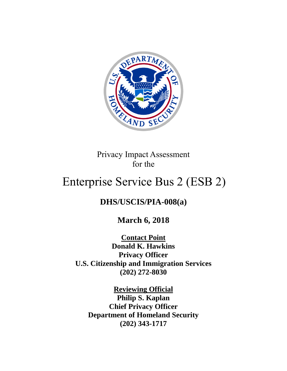

Privacy Impact Assessment for the

# Enterprise Service Bus 2 (ESB 2)

# **DHS/USCIS/PIA-008(a)**

**March 6, 2018**

**Contact Point Donald K. Hawkins Privacy Officer U.S. Citizenship and Immigration Services (202) 272-8030**

**Reviewing Official Philip S. Kaplan Chief Privacy Officer Department of Homeland Security (202) 343-1717**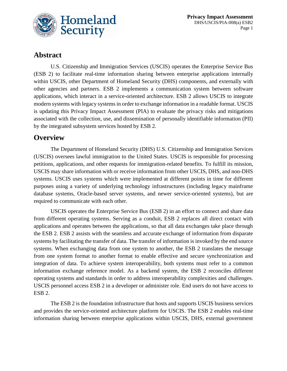

# **Abstract**

U.S. Citizenship and Immigration Services (USCIS) operates the Enterprise Service Bus (ESB 2) to facilitate real-time information sharing between enterprise applications internally within USCIS, other Department of Homeland Security (DHS) components, and externally with other agencies and partners. ESB 2 implements a communication system between software applications, which interact in a service-oriented architecture. ESB 2 allows USCIS to integrate modern systems with legacy systems in order to exchange information in a readable format. USCIS is updating this Privacy Impact Assessment (PIA) to evaluate the privacy risks and mitigations associated with the collection, use, and dissemination of personally identifiable information (PII) by the integrated subsystem services hosted by ESB 2.

# **Overview**

The Department of Homeland Security (DHS) U.S. Citizenship and Immigration Services (USCIS) oversees lawful immigration to the United States. USCIS is responsible for processing petitions, applications, and other requests for immigration-related benefits. To fulfill its mission, USCIS may share information with or receive information from other USCIS, DHS, and non-DHS systems. USCIS uses systems which were implemented at different points in time for different purposes using a variety of underlying technology infrastructures (including legacy mainframe database systems, Oracle-based server systems, and newer service-oriented systems), but are required to communicate with each other.

USCIS operates the Enterprise Service Bus (ESB 2) in an effort to connect and share data from different operating systems. Serving as a conduit, ESB 2 replaces all direct contact with applications and operates between the applications, so that all data exchanges take place through the ESB 2. ESB 2 assists with the seamless and accurate exchange of information from disparate systems by facilitating the transfer of data. The transfer of information is invoked by the end source systems. When exchanging data from one system to another, the ESB 2 translates the message from one system format to another format to enable effective and secure synchronization and integration of data. To achieve system interoperability, both systems must refer to a common information exchange reference model. As a backend system, the ESB 2 reconciles different operating systems and standards in order to address interoperability complexities and challenges. USCIS personnel access ESB 2 in a developer or administer role. End users do not have access to ESB 2.

The ESB 2 is the foundation infrastructure that hosts and supports USCIS business services and provides the service-oriented architecture platform for USCIS. The ESB 2 enables real-time information sharing between enterprise applications within USCIS, DHS, external government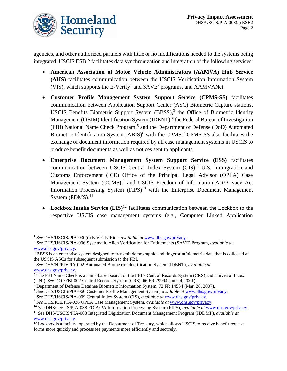

agencies, and other authorized partners with little or no modifications needed to the systems being integrated. USCIS ESB 2 facilitates data synchronization and integration of the following services:

- **American Association of Motor Vehicle Administrators (AAMVA) Hub Service (AHS)** facilitates communication between the USCIS Verification Information System (VIS), which supports the E-Verify<sup>1</sup> and  $SAVE<sup>2</sup>$  programs, and  $AAMVANet$ .
- **Customer Profile Management System Support Service (CPMS-SS)** facilitates communication between Application Support Center (ASC) Biometric Capture stations, USCIS Benefits Biometric Support System  $(BBSS)$ ,<sup>3</sup> the Office of Biometric Identity Management (OBIM) Identification System (IDENT),<sup>4</sup> the Federal Bureau of Investigation (FBI) National Name Check Program, 5 and the Department of Defense (DoD) Automated Biometric Identification System  $(ABIS)^6$  with the CPMS.<sup>7</sup> CPMS-SS also facilitates the exchange of document information required by all case management systems in USCIS to produce benefit documents as well as notices sent to applicants.
- **Enterprise Document Management System Support Service (ESS)** facilitates communication between USCIS Central Index System  $(CIS)$ , U.S. Immigration and Customs Enforcement (ICE) Office of the Principal Legal Advisor (OPLA) Case Management System (OCMS),<sup>9</sup> and USCIS Freedom of Information Act/Privacy Act Information Processing System  $(FIPS)^{10}$  with the Enterprise Document Management System (EDMS).<sup>11</sup>
- Lockbox Intake Service (LIS)<sup>12</sup> facilitates communication between the Lockbox to the respective USCIS case management systems (e.g., Computer Linked Application

 $\overline{a}$ 

<sup>1</sup> *See* DHS/USCIS/PIA-030(c) E-Verify Ride, *available at* [www.dhs.gov/privacy.](http://www.dhs.gov/privacy)

<sup>2</sup> *See* DHS/USCIS/PIA-006 Systematic Alien Verification for Entitlements (SAVE) Program, *available at* [www.dhs.gov/privacy.](http://www.dhs.gov/privacy)

<sup>&</sup>lt;sup>3</sup> BBSS is an enterprise system designed to transmit demographic and fingerprint/biometric data that is collected at the USCIS ASCs for subsequent submission to the FBI.

<sup>4</sup> *See* DHS/NPPD/PIA-002 Automated Biometric Identification System (IDENT), *available at*  [www.dhs.gov/privacy.](http://www.dhs.gov/privacy)

<sup>&</sup>lt;sup>5</sup> The FBI Name Check is a name-based search of the FBI's Central Records System (CRS) and Universal Index (UNI). *See* DOJ/FBI-002 Central Records System (CRS), 66 FR 29994 (June 4, 2001).

<sup>6</sup> Department of Defense Detainee Biometric Information System, 72 FR 14534 (Mar. 28, 2007).

<sup>7</sup> *See* DHS/USCIS/PIA-060 Customer Profile Management System, *available at* [www.dhs.gov/privacy.](http://www.dhs.gov/privacy)

<sup>8</sup> *See* DHS/USCIS/PIA-009 Central Index System (CIS), *available at* [www.dhs.gov/privacy.](http://www.dhs.gov/privacy)

<sup>9</sup> *See* DHS/ICE/PIA-036 OPLA Case Management System, *available at* [www.dhs.gov/privacy.](http://www.dhs.gov/privacy)

<sup>10</sup> *See* DHS/USCIS/PIA-038 FOIA/PA Information Processing System (FIPS), *available at* [www.dhs.gov/privacy.](http://www.dhs.gov/privacy)

<sup>11</sup> *See* DHS/USCIS/PIA-003 Integrated Digitization Document Management Program (IDDMP), *available at*  [www.dhs.gov/privacy.](http://www.dhs.gov/privacy)

 $12$  Lockbox is a facility, operated by the Department of Treasury, which allows USCIS to receive benefit request forms more quickly and process fee payments more efficiently and securely.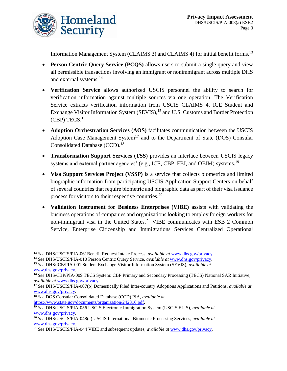

Information Management System (CLAIMS 3) and CLAIMS 4) for initial benefit forms.<sup>13</sup>

- **Person Centric Query Service (PCQS)** allows users to submit a single query and view all permissible transactions involving an immigrant or nonimmigrant across multiple DHS and external systems.<sup>14</sup>
- **Verification Service** allows authorized USCIS personnel the ability to search for verification information against multiple sources via one operation. The Verification Service extracts verification information from USCIS CLAIMS 4, ICE Student and Exchange Visitor Information System (SEVIS),<sup>15</sup> and U.S. Customs and Border Protection (CBP) TECS.<sup>16</sup>
- **Adoption Orchestration Services (AOS)** facilitates communication between the USCIS Adoption Case Management System<sup>17</sup> and to the Department of State (DOS) Consular Consolidated Database (CCD).<sup>18</sup>
- **Transformation Support Services (TSS)** provides an interface between USCIS legacy systems and external partner agencies' (e.g., ICE, CBP, FBI, and OBIM) systems.<sup>19</sup>
- **Visa Support Services Project (VSSP)** is a service that collects biometrics and limited biographic information from participating USCIS Application Support Centers on behalf of several countries that require biometric and biographic data as part of their visa issuance process for visitors to their respective countries.<sup>20</sup>
- **Validation Instrument for Business Enterprises (VIBE)** assists with validating the business operations of companies and organizations looking to employ foreign workers for non-immigrant visa in the United States.<sup>21</sup> VIBE communicates with ESB 2 Common Service, Enterprise Citizenship and Immigrations Services Centralized Operational

 $\overline{a}$ 

<sup>13</sup> *See* DHS/USCIS/PIA-061Benefit Request Intake Process, *available at* [www.dhs.gov/privacy.](http://www.dhs.gov/privacy)

<sup>14</sup> *See* DHS/USCIS/PIA-010 Person Centric Query Service, *available at* [www.dhs.gov/privacy.](http://www.dhs.gov/privacy)

<sup>15</sup> *See* DHS/ICE/PIA-001 Student Exchange Visitor Information System (SEVIS), *available at*  [www.dhs.gov/privacy.](http://www.dhs.gov/privacy)

<sup>16</sup> *See* DHS/CBP/PIA-009 TECS System: CBP Primary and Secondary Processing (TECS) National SAR Initiative, *available at* [www.dhs.gov/privacy.](http://www.dhs.gov/privacy)

<sup>17</sup> *See* DHS/USCIS/PIA-007(b) Domestically Filed Inter-country Adoptions Applications and Petitions, *available at*  [www.dhs.gov/privacy.](http://www.dhs.gov/privacy)

<sup>18</sup> *See* DOS Consular Consolidated Database (CCD) PIA, *available at*  [https://www.state.gov/documents/organization/242316.pdf.](https://www.state.gov/documents/organization/242316.pdf)

<sup>19</sup> *See* DHS/USCIS/PIA-056 USCIS Electronic Immigration System (USCIS ELIS), *available at*  [www.dhs.gov/privacy.](http://www.dhs.gov/privacy)

<sup>20</sup> *See* DHS/USCIS/PIA-048(a) USCIS International Biometric Processing Services, *available at*  [www.dhs.gov/privacy.](http://www.dhs.gov/privacy)

<sup>21</sup> *See* DHS/USCIS/PIA-044 VIBE and subsequent updates, *available at* [www.dhs.gov/privacy.](http://www.dhs.gov/privacy)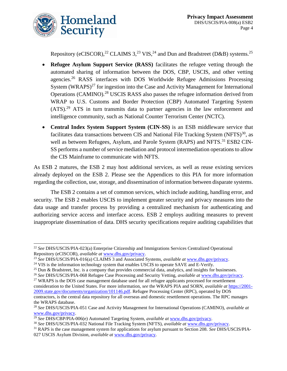

 $\overline{a}$ 

Repository (eCISCOR),<sup>22</sup> CLAIMS 3,<sup>23</sup> VIS,<sup>24</sup> and Dun and Bradstreet (D&B) systems.<sup>25</sup>

- **Refugee Asylum Support Service (RASS)** facilitates the refugee vetting through the automated sharing of information between the DOS, CBP, USCIS, and other vetting agencies.<sup>26</sup> RASS interfaces with DOS Worldwide Refugee Admissions Processing System  $(WRAPS)^{27}$  for ingestion into the Case and Activity Management for International Operations (CAMINO).<sup>28</sup> USCIS RASS also passes the refugee information derived from WRAP to U.S. Customs and Border Protection (CBP) Automated Targeting System (ATS).<sup>29</sup> ATS in turn transmits data to partner agencies in the law enforcement and intelligence community, such as National Counter Terrorism Center (NCTC).
- **Central Index System Support System (CIN-SS)** is an ESB middleware service that facilitates data transactions between CIS and National File Tracking System  $(NFTS)^{30}$ , as well as between Refugees, Asylum, and Parole System (RAPS) and NFTS.<sup>31</sup> ESB2 CIN-SS performs a number of service mediation and protocol intermediation operations to allow the CIS Mainframe to communicate with NFTS.

As ESB 2 matures, the ESB 2 may host additional services, as well as reuse existing services already deployed on the ESB 2. Please see the Appendices to this PIA for more information regarding the collection, use, storage, and dissemination of information between disparate systems.

The ESB 2 contains a set of common services, which include auditing, handling error, and security. The ESB 2 enables USCIS to implement greater security and privacy measures into the data usage and transfer process by providing a centralized mechanism for authenticating and authorizing service access and interface access. ESB 2 employs auditing measures to prevent inappropriate dissemination of data. DHS security specifications require auditing capabilities that

<sup>27</sup> WRAPS is the DOS case management database used for all refugee applicants processed for resettlement consideration to the United States. For more information, *see* the WRAPS PIA and SORN, *available at* [https://2001-](https://2001-2009.state.gov/documents/organization/101146.pdf) [2009.state.gov/documents/organization/101146.pdf.](https://2001-2009.state.gov/documents/organization/101146.pdf) Refugee Processing Center (RPC), operated by DOS contractors, is the central data repository for all overseas and domestic resettlement operations. The RPC manages the WRAPS database.

<sup>22</sup> *See* DHS/USCIS/PIA-023(a) Enterprise Citizenship and Immigrations Services Centralized Operational Repository (eCISCOR), *available at* [www.dhs.gov/privacy.](http://www.dhs.gov/privacy)

<sup>23</sup> *See* DHS/USCIS/PIA-016(a) CLAIMS 3 and Associated Systems, *available at* [www.dhs.gov/privacy.](http://www.dhs.gov/privacy)

<sup>&</sup>lt;sup>24</sup> VIS is the information technology system that enables USCIS to operate SAVE and E-Verify.

<sup>25</sup> Dun & Bradstreet, Inc. is a company that provides commercial data, analytics, and insights for businesses.

<sup>26</sup> *See* DHS/USCIS/PIA-068 Refugee Case Processing and Security Vetting, *available at* [www.dhs.gov/privacy.](http://www.dhs.gov/privacy)

<sup>28</sup> *See* DHS/USCIS/PIA-051 Case and Activity Management for International Operations (CAMINO), *available at* [www.dhs.gov/privacy.](http://www.dhs.gov/privacy)

<sup>29</sup> *See* DHS/CBP/PIA-006(e) Automated Targeting System, *available at* [www.dhs.gov/privacy.](http://www.dhs.gov/privacy)

<sup>30</sup> *See* DHS/USCIS/PIA-032 National File Tracking System (NFTS), *available at* [www.dhs.gov/privacy.](http://www.dhs.gov/privacy)

<sup>31</sup> RAPS is the case management system for applications for asylum pursuant to Section 208. *See* DHS/USCIS/PIA-027 USCIS Asylum Division, *available at* [www.dhs.gov/privacy.](http://www.dhs.gov/privacy)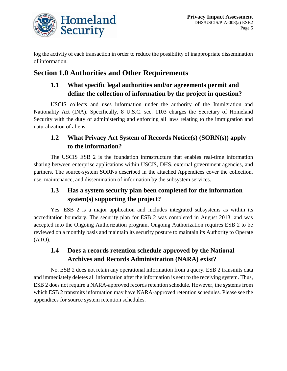

log the activity of each transaction in order to reduce the possibility of inappropriate dissemination of information.

# **Section 1.0 Authorities and Other Requirements**

# **1.1 What specific legal authorities and/or agreements permit and define the collection of information by the project in question?**

USCIS collects and uses information under the authority of the Immigration and Nationality Act (INA). Specifically, 8 U.S.C. sec. 1103 charges the Secretary of Homeland Security with the duty of administering and enforcing all laws relating to the immigration and naturalization of aliens.

# **1.2 What Privacy Act System of Records Notice(s) (SORN(s)) apply to the information?**

The USCIS ESB 2 is the foundation infrastructure that enables real-time information sharing between enterprise applications within USCIS, DHS, external government agencies, and partners. The source-system SORNs described in the attached Appendices cover the collection, use, maintenance, and dissemination of information by the subsystem services.

# **1.3 Has a system security plan been completed for the information system(s) supporting the project?**

Yes. ESB 2 is a major application and includes integrated subsystems as within its accreditation boundary. The security plan for ESB 2 was completed in August 2013, and was accepted into the Ongoing Authorization program. Ongoing Authorization requires ESB 2 to be reviewed on a monthly basis and maintain its security posture to maintain its Authority to Operate (ATO).

# **1.4 Does a records retention schedule approved by the National Archives and Records Administration (NARA) exist?**

No. ESB 2 does not retain any operational information from a query. ESB 2 transmits data and immediately deletes all information after the information is sent to the receiving system. Thus, ESB 2 does not require a NARA-approved records retention schedule. However, the systems from which ESB 2 transmits information may have NARA-approved retention schedules. Please see the appendices for source system retention schedules.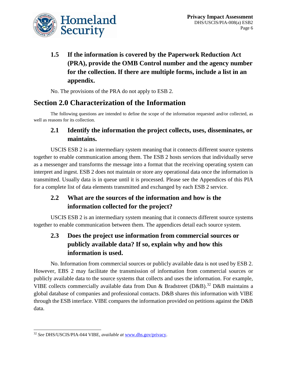

# **1.5 If the information is covered by the Paperwork Reduction Act (PRA), provide the OMB Control number and the agency number for the collection. If there are multiple forms, include a list in an appendix.**

No. The provisions of the PRA do not apply to ESB 2.

# **Section 2.0 Characterization of the Information**

The following questions are intended to define the scope of the information requested and/or collected, as well as reasons for its collection.

# **2.1 Identify the information the project collects, uses, disseminates, or maintains.**

USCIS ESB 2 is an intermediary system meaning that it connects different source systems together to enable communication among them. The ESB 2 hosts services that individually serve as a messenger and transforms the message into a format that the receiving operating system can interpret and ingest. ESB 2 does not maintain or store any operational data once the information is transmitted. Usually data is in queue until it is processed. Please see the Appendices of this PIA for a complete list of data elements transmitted and exchanged by each ESB 2 service.

# **2.2 What are the sources of the information and how is the information collected for the project?**

USCIS ESB 2 is an intermediary system meaning that it connects different source systems together to enable communication between them. The appendices detail each source system.

# **2.3 Does the project use information from commercial sources or publicly available data? If so, explain why and how this information is used.**

No. Information from commercial sources or publicly available data is not used by ESB 2. However, EBS 2 may facilitate the transmission of information from commercial sources or publicly available data to the source systems that collects and uses the information. For example, VIBE collects commercially available data from Dun & Bradstreet (D&B).<sup>32</sup> D&B maintains a global database of companies and professional contacts. D&B shares this information with VIBE through the ESB interface. VIBE compares the information provided on petitions against the D&B data.

 $\overline{a}$ <sup>32</sup> *See* DHS/USCIS/PIA-044 VIBE, *available at* [www.dhs.gov/privacy.](http://www.dhs.gov/privacy)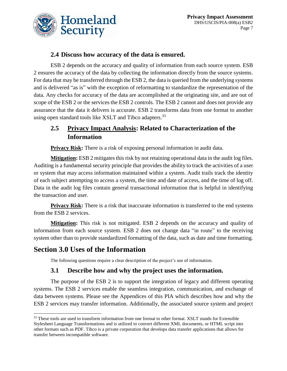

# **2.4 Discuss how accuracy of the data is ensured.**

ESB 2 depends on the accuracy and quality of information from each source system. ESB 2 ensures the accuracy of the data by collecting the information directly from the source systems. For data that may be transferred through the ESB 2, the data is queried from the underlying systems and is delivered "as is" with the exception of reformatting to standardize the representation of the data. Any checks for accuracy of the data are accomplished at the originating site, and are out of scope of the ESB 2 or the services the ESB 2 controls. The ESB 2 cannot and does not provide any assurance that the data it delivers is accurate. ESB 2 transforms data from one format to another using open standard tools like XSLT and Tibco adapters.<sup>33</sup>

# **2.5 Privacy Impact Analysis: Related to Characterization of the Information**

**Privacy Risk:** There is a risk of exposing personal information in audit data.

**Mitigation:** ESB 2 mitigates this risk by not retaining operational data in the audit log files. Auditing is a fundamental security principle that provides the ability to track the activities of a user or system that may access information maintained within a system. Audit trails track the identity of each subject attempting to access a system, the time and date of access, and the time of log off. Data in the audit log files contain general transactional information that is helpful in identifying the transaction and user.

**Privacy Risk:** There is a risk that inaccurate information is transferred to the end systems from the ESB 2 services.

**Mitigation:** This risk is not mitigated. ESB 2 depends on the accuracy and quality of information from each source system. ESB 2 does not change data "in route" to the receiving system other than to provide standardized formatting of the data, such as date and time formatting.

# **Section 3.0 Uses of the Information**

The following questions require a clear description of the project's use of information.

# **3.1 Describe how and why the project uses the information.**

The purpose of the ESB 2 is to support the integration of legacy and different operating systems. The ESB 2 services enable the seamless integration, communication, and exchange of data between systems. Please see the Appendices of this PIA which describes how and why the ESB 2 services may transfer information. Additionally, the associated source system and project

 $\overline{a}$ <sup>33</sup> These tools are used to transform information from one format to other format. XSLT stands for Extensible Stylesheet Language Transformations and is utilized to convert different XML documents, or HTML script into other formats such as PDF. Tibco is a private corporation that develops data transfer applications that allows for transfer between incompatible software.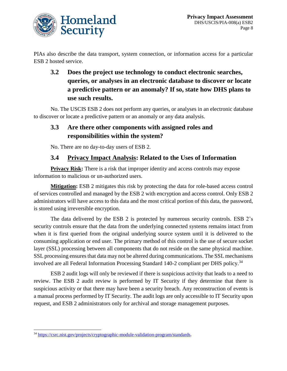

PIAs also describe the data transport, system connection, or information access for a particular ESB 2 hosted service.

# **3.2 Does the project use technology to conduct electronic searches, queries, or analyses in an electronic database to discover or locate a predictive pattern or an anomaly? If so, state how DHS plans to use such results.**

No. The USCIS ESB 2 does not perform any queries, or analyses in an electronic database to discover or locate a predictive pattern or an anomaly or any data analysis.

# **3.3 Are there other components with assigned roles and responsibilities within the system?**

No. There are no day-to-day users of ESB 2.

# **3.4 Privacy Impact Analysis: Related to the Uses of Information**

**Privacy Risk:** There is a risk that improper identity and access controls may expose information to malicious or un-authorized users.

**Mitigation:** ESB 2 mitigates this risk by protecting the data for role-based access control of services controlled and managed by the ESB 2 with encryption and access control. Only ESB 2 administrators will have access to this data and the most critical portion of this data, the password, is stored using irreversible encryption.

The data delivered by the ESB 2 is protected by numerous security controls. ESB 2's security controls ensure that the data from the underlying connected systems remains intact from when it is first queried from the original underlying source system until it is delivered to the consuming application or end user. The primary method of this control is the use of secure socket layer (SSL) processing between all components that do not reside on the same physical machine. SSL processing ensures that data may not be altered during communications. The SSL mechanisms involved are all Federal Information Processing Standard 140-2 compliant per DHS policy.<sup>34</sup>

ESB 2 audit logs will only be reviewed if there is suspicious activity that leads to a need to review. The ESB 2 audit review is performed by IT Security if they determine that there is suspicious activity or that there may have been a security breach. Any reconstruction of events is a manual process performed by IT Security. The audit logs are only accessible to IT Security upon request, and ESB 2 administrators only for archival and storage management purposes.

 $\overline{a}$ <sup>34</sup> [https://csrc.nist.gov/projects/cryptographic-module-validation-program/standards.](https://csrc.nist.gov/projects/cryptographic-module-validation-program/standards)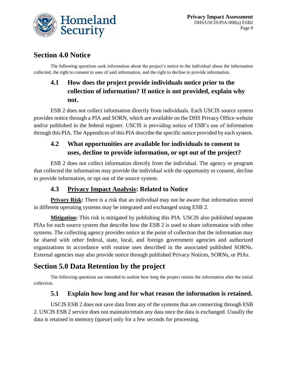

# **Section 4.0 Notice**

The following questions seek information about the project's notice to the individual about the information collected, the right to consent to uses of said information, and the right to decline to provide information.

# **4.1 How does the project provide individuals notice prior to the collection of information? If notice is not provided, explain why not.**

ESB 2 does not collect information directly from individuals. Each USCIS source system provides notice through a PIA and SORN, which are available on the DHS Privacy Office website and/or published in the federal register. USCIS is providing notice of ESB's use of information through this PIA. The Appendices of this PIA describe the specific notice provided by each system.

# **4.2 What opportunities are available for individuals to consent to uses, decline to provide information, or opt out of the project?**

ESB 2 does not collect information directly from the individual. The agency or program that collected the information may provide the individual with the opportunity to consent, decline to provide information, or opt out of the source system.

# **4.3 Privacy Impact Analysis: Related to Notice**

**Privacy Risk:** There is a risk that an individual may not be aware that information stored in different operating systems may be integrated and exchanged using ESB 2.

**Mitigation:** This risk is mitigated by publishing this PIA. USCIS also published separate PIAs for each source system that describe how the ESB 2 is used to share information with other systems. The collecting agency provides notice at the point of collection that the information may be shared with other federal, state, local, and foreign government agencies and authorized organizations in accordance with routine uses described in the associated published SORNs. External agencies may also provide notice through published Privacy Notices, SORNs, or PIAs.

# **Section 5.0 Data Retention by the project**

The following questions are intended to outline how long the project retains the information after the initial collection.

# **5.1 Explain how long and for what reason the information is retained.**

USCIS ESB 2 does not save data from any of the systems that are connecting through ESB 2. USCIS ESB 2 service does not maintain/retain any data once the data is exchanged. Usually the data is retained in memory (queue) only for a few seconds for processing.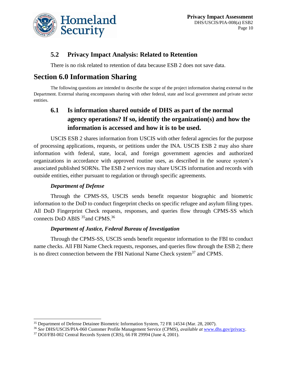

# **5.2 Privacy Impact Analysis: Related to Retention**

There is no risk related to retention of data because ESB 2 does not save data.

# **Section 6.0 Information Sharing**

The following questions are intended to describe the scope of the project information sharing external to the Department. External sharing encompasses sharing with other federal, state and local government and private sector entities.

# **6.1 Is information shared outside of DHS as part of the normal agency operations? If so, identify the organization(s) and how the information is accessed and how it is to be used.**

USCIS ESB 2 shares information from USCIS with other federal agencies for the purpose of processing applications, requests, or petitions under the INA. USCIS ESB 2 may also share information with federal, state, local, and foreign government agencies and authorized organizations in accordance with approved routine uses, as described in the source system's associated published SORNs. The ESB 2 services may share USCIS information and records with outside entities, either pursuant to regulation or through specific agreements.

### *Department of Defense*

 $\overline{a}$ 

Through the CPMS-SS, USCIS sends benefit requestor biographic and biometric information to the DoD to conduct fingerprint checks on specific refugee and asylum filing types. All DoD Fingerprint Check requests, responses, and queries flow through CPMS-SS which connects DoD ABIS <sup>35</sup> and CPMS.<sup>36</sup>

### *Department of Justice, Federal Bureau of Investigation*

Through the CPMS-SS, USCIS sends benefit requestor information to the FBI to conduct name checks. All FBI Name Check requests, responses, and queries flow through the ESB 2; there is no direct connection between the FBI National Name Check system<sup>37</sup> and CPMS.

<sup>35</sup> Department of Defense Detainee Biometric Information System, 72 FR 14534 (Mar. 28, 2007).

<sup>36</sup> *See* DHS/USCIS/PIA-060 Customer Profile Management Service (CPMS), *available at* [www.dhs.gov/privacy.](http://www.dhs.gov/privacy)

<sup>37</sup> DOJ/FBI-002 Central Records System (CRS), 66 FR 29994 (June 4, 2001).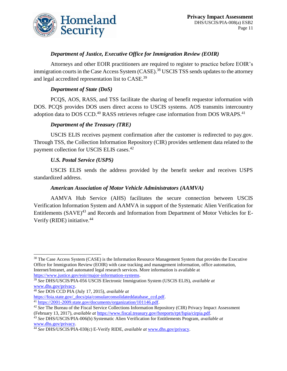

### *Department of Justice, Executive Office for Immigration Review (EOIR)*

Attorneys and other EOIR practitioners are required to register to practice before EOIR's immigration courts in the Case Access System (CASE).<sup>38</sup> USCIS TSS sends updates to the attorney and legal accredited representation list to CASE.<sup>39</sup>

### *Department of State (DoS)*

PCQS, AOS, RASS, and TSS facilitate the sharing of benefit requestor information with DOS. PCQS provides DOS users direct access to USCIS systems. AOS transmits intercountry adoption data to DOS CCD.<sup>40</sup> RASS retrieves refugee case information from DOS WRAPS.<sup>41</sup>

### *Department of the Treasury (TRE)*

USCIS ELIS receives payment confirmation after the customer is redirected to pay.gov. Through TSS, the Collection Information Repository (CIR) provides settlement data related to the payment collection for USCIS ELIS cases.<sup>42</sup>

### *U.S. Postal Service (USPS)*

USCIS ELIS sends the address provided by the benefit seeker and receives USPS standardized address.

### *American Association of Motor Vehicle Administrators (AAMVA)*

AAMVA Hub Service (AHS) facilitates the secure connection between USCIS Verification Information System and AAMVA in support of the Systematic Alien Verification for Entitlements  $(SAVE)^{43}$  and Records and Information from Department of Motor Vehicles for E-Verify (RIDE) initiative.<sup>44</sup>

 $\overline{a}$ 

<sup>&</sup>lt;sup>38</sup> The Case Access System (CASE) is the Information Resource Management System that provides the Executive Office for Immigration Review (EOIR) with case tracking and management information, office automation, Internet/Intranet, and automated legal research services. More information is available at [https://www.justice.gov/eoir/major-information-systems.](https://www.justice.gov/eoir/major-information-systems)

<sup>39</sup> *See* DHS/USCIS/PIA-056 USCIS Electronic Immigration System (USCIS ELIS), *available at*  [www.dhs.gov/privacy.](http://www.dhs.gov/privacy)

<sup>40</sup> *See* DOS CCD PIA (July 17, 2015), *available at*

[https://foia.state.gov/\\_docs/pia/consularconsolidateddatabase\\_ccd.pdf.](https://foia.state.gov/_docs/pia/consularconsolidateddatabase_ccd.pdf)

<sup>&</sup>lt;sup>41</sup> [https://2001-2009.state.gov/documents/organization/101146.pdf.](https://2001-2009.state.gov/documents/organization/101146.pdf)

<sup>&</sup>lt;sup>42</sup> See The Bureau of the Fiscal Service Collections Information Repository (CIR) Privacy Impact Assessment (February 13, 2017), *available at* [https://www.fiscal.treasury.gov/fsreports/rpt/fspia/cirpia.pdf.](https://www.fiscal.treasury.gov/fsreports/rpt/fspia/cirpia.pdf)

<sup>43</sup> *See* DHS/USCIS/PIA-006(b) Systematic Alien Verification for Entitlements Program, *available at* [www.dhs.gov/privacy.](http://www.dhs.gov/privacy)

<sup>44</sup> *See* DHS/USCIS/PIA-030(c) E-Verify RIDE, *available at* [www.dhs.gov/privacy.](http://www.dhs.gov/privacy)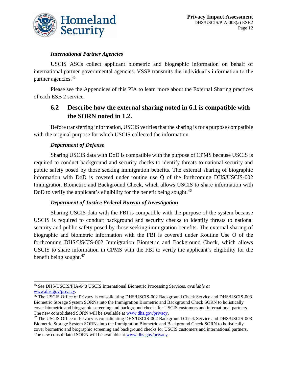

### *International Partner Agencies*

USCIS ASCs collect applicant biometric and biographic information on behalf of international partner governmental agencies. VSSP transmits the individual's information to the partner agencies.<sup>45</sup>

Please see the Appendices of this PIA to learn more about the External Sharing practices of each ESB 2 service.

# **6.2 Describe how the external sharing noted in 6.1 is compatible with the SORN noted in 1.2.**

Before transferring information, USCIS verifies that the sharing is for a purpose compatible with the original purpose for which USCIS collected the information.

### *Department of Defense*

Sharing USCIS data with DoD is compatible with the purpose of CPMS because USCIS is required to conduct background and security checks to identify threats to national security and public safety posed by those seeking immigration benefits. The external sharing of biographic information with DoD is covered under routine use Q of the forthcoming DHS/USCIS-002 Immigration Biometric and Background Check, which allows USCIS to share information with DoD to verify the applicant's eligibility for the benefit being sought.<sup>46</sup>

### *Department of Justice Federal Bureau of Investigation*

Sharing USCIS data with the FBI is compatible with the purpose of the system because USCIS is required to conduct background and security checks to identify threats to national security and public safety posed by those seeking immigration benefits. The external sharing of biographic and biometric information with the FBI is covered under Routine Use O of the forthcoming DHS/USCIS-002 Immigration Biometric and Background Check, which allows USCIS to share information in CPMS with the FBI to verify the applicant's eligibility for the benefit being sought. 47

 $\overline{a}$ <sup>45</sup> *See* DHS/USCIS/PIA-048 USCIS International Biometric Processing Services, *available at* [www.dhs.gov/privacy.](http://www.dhs.gov/privacy)

<sup>&</sup>lt;sup>46</sup> The USCIS Office of Privacy is consolidating DHS/USCIS-002 Background Check Service and DHS/USCIS-003 Biometric Storage System SORNs into the Immigration Biometric and Background Check SORN to holistically cover biometric and biographic screening and background checks for USCIS customers and international partners. The new consolidated SORN will be available a[t www.dhs.gov/privacy.](http://www.dhs.gov/privacy)

<sup>&</sup>lt;sup>47</sup> The USCIS Office of Privacy is consolidating DHS/USCIS-002 Background Check Service and DHS/USCIS-003 Biometric Storage System SORNs into the Immigration Biometric and Background Check SORN to holistically cover biometric and biographic screening and background checks for USCIS customers and international partners. The new consolidated SORN will be available a[t www.dhs.gov/privacy.](http://www.dhs.gov/privacy)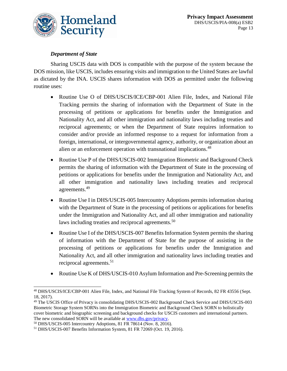

### *Department of State*

Sharing USCIS data with DOS is compatible with the purpose of the system because the DOS mission, like USCIS, includes ensuring visits and immigration to the United States are lawful as dictated by the INA. USCIS shares information with DOS as permitted under the following routine uses:

- Routine Use O of DHS/USCIS/ICE/CBP-001 Alien File, Index, and National File Tracking permits the sharing of information with the Department of State in the processing of petitions or applications for benefits under the Immigration and Nationality Act, and all other immigration and nationality laws including treaties and reciprocal agreements; or when the Department of State requires information to consider and/or provide an informed response to a request for information from a foreign, international, or intergovernmental agency, authority, or organization about an alien or an enforcement operation with transnational implications.<sup>48</sup>
- Routine Use P of the DHS/USCIS-002 Immigration Biometric and Background Check permits the sharing of information with the Department of State in the processing of petitions or applications for benefits under the Immigration and Nationality Act, and all other immigration and nationality laws including treaties and reciprocal agreements.<sup>49</sup>
- Routine Use I in DHS/USCIS-005 Intercountry Adoptions permits information sharing with the Department of State in the processing of petitions or applications for benefits under the Immigration and Nationality Act, and all other immigration and nationality laws including treaties and reciprocal agreements.<sup>50</sup>
- Routine Use I of the DHS/USCIS-007 Benefits Information System permits the sharing of information with the Department of State for the purpose of assisting in the processing of petitions or applications for benefits under the Immigration and Nationality Act, and all other immigration and nationality laws including treaties and reciprocal agreements.<sup>51</sup>
- Routine Use K of DHS/USCIS-010 Asylum Information and Pre-Screening permits the

 $\overline{a}$ <sup>48</sup> DHS/USCIS/ICE/CBP-001 Alien File, Index, and National File Tracking System of Records, 82 FR 43556 (Sept. 18, 2017).

<sup>49</sup> The USCIS Office of Privacy is consolidating DHS/USCIS-002 Background Check Service and DHS/USCIS-003 Biometric Storage System SORNs into the Immigration Biometric and Background Check SORN to holistically cover biometric and biographic screening and background checks for USCIS customers and international partners. The new consolidated SORN will be available a[t www.dhs.gov/privacy.](http://www.dhs.gov/privacy)

<sup>50</sup> DHS/USCIS-005 Intercountry Adoptions, 81 FR 78614 (Nov. 8, 2016).

<sup>51</sup> DHS/USCIS-007 Benefits Information System, 81 FR 72069 (Oct. 19, 2016).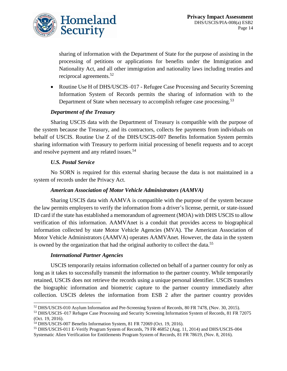

sharing of information with the Department of State for the purpose of assisting in the processing of petitions or applications for benefits under the Immigration and Nationality Act, and all other immigration and nationality laws including treaties and reciprocal agreements.<sup>52</sup>

• Routine Use H of DHS/USCIS–017 - Refugee Case Processing and Security Screening Information System of Records permits the sharing of information with to the Department of State when necessary to accomplish refugee case processing.<sup>53</sup>

### *Department of the Treasury*

Sharing USCIS data with the Department of Treasury is compatible with the purpose of the system because the Treasury, and its contractors, collects fee payments from individuals on behalf of USCIS. Routine Use Z of the DHS/USCIS-007 Benefits Information System permits sharing information with Treasury to perform initial processing of benefit requests and to accept and resolve payment and any related issues.<sup>54</sup>

### *U.S. Postal Service*

No SORN is required for this external sharing because the data is not maintained in a system of records under the Privacy Act.

### *American Association of Motor Vehicle Administrators (AAMVA)*

Sharing USCIS data with AAMVA is compatible with the purpose of the system because the law permits employers to verify the information from a driver's license, permit, or state-issued ID card if the state has established a memorandum of agreement (MOA) with DHS USCIS to allow verification of this information. AAMVAnet is a conduit that provides access to biographical information collected by state Motor Vehicle Agencies (MVA). The American Association of Motor Vehicle Administrators (AAMVA) operates AAMVAnet. However, the data in the system is owned by the organization that had the original authority to collect the data.<sup>55</sup>

### *International Partner Agencies*

USCIS temporarily retains information collected on behalf of a partner country for only as long as it takes to successfully transmit the information to the partner country. While temporarily retained, USCIS does not retrieve the records using a unique personal identifier. USCIS transfers the biographic information and biometric capture to the partner country immediately after collection. USCIS deletes the information from ESB 2 after the partner country provides

 $\overline{a}$ <sup>52</sup> DHS/USCIS-010 Asylum Information and Pre-Screening System of Records, 80 FR 7478, (Nov. 30, 2015).

<sup>53</sup> DHS/USCIS–017 Refugee Case Processing and Security Screening Information System of Records, 81 FR 72075 (Oct. 19, 2016).

<sup>54</sup> DHS/USCIS-007 Benefits Information System, 81 FR 72069 (Oct. 19, 2016).

<sup>55</sup> DHS/USCIS-011 E-Verify Program System of Records, 79 FR 46852 (Aug. 11, 2014) and DHS/USCIS-004 Systematic Alien Verification for Entitlements Program System of Records, 81 FR 78619, (Nov. 8, 2016).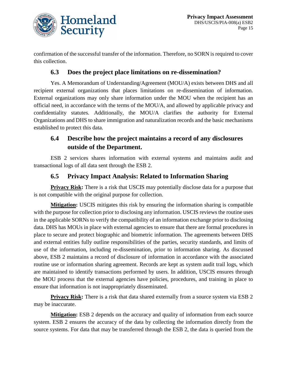

confirmation of the successful transfer of the information. Therefore, no SORN is required to cover this collection.

## **6.3 Does the project place limitations on re-dissemination?**

Yes. A Memorandum of Understanding/Agreement (MOU/A) exists between DHS and all recipient external organizations that places limitations on re-dissemination of information. External organizations may only share information under the MOU when the recipient has an official need, in accordance with the terms of the MOU/A, and allowed by applicable privacy and confidentiality statutes. Additionally, the MOU/A clarifies the authority for External Organizations and DHS to share immigration and naturalization records and the basic mechanisms established to protect this data.

# **6.4 Describe how the project maintains a record of any disclosures outside of the Department.**

ESB 2 services shares information with external systems and maintains audit and transactional logs of all data sent through the ESB 2.

# **6.5 Privacy Impact Analysis: Related to Information Sharing**

**Privacy Risk:** There is a risk that USCIS may potentially disclose data for a purpose that is not compatible with the original purpose for collection.

**Mitigation:** USCIS mitigates this risk by ensuring the information sharing is compatible with the purpose for collection prior to disclosing any information. USCIS reviews the routine uses in the applicable SORNs to verify the compatibility of an information exchange prior to disclosing data. DHS has MOUs in place with external agencies to ensure that there are formal procedures in place to secure and protect biographic and biometric information. The agreements between DHS and external entities fully outline responsibilities of the parties, security standards, and limits of use of the information, including re-dissemination, prior to information sharing. As discussed above, ESB 2 maintains a record of disclosure of information in accordance with the associated routine use or information sharing agreement. Records are kept as system audit trail logs, which are maintained to identify transactions performed by users. In addition, USCIS ensures through the MOU process that the external agencies have policies, procedures, and training in place to ensure that information is not inappropriately disseminated.

**Privacy Risk:** There is a risk that data shared externally from a source system via ESB 2 may be inaccurate.

**Mitigation:** ESB 2 depends on the accuracy and quality of information from each source system. ESB 2 ensures the accuracy of the data by collecting the information directly from the source systems. For data that may be transferred through the ESB 2, the data is queried from the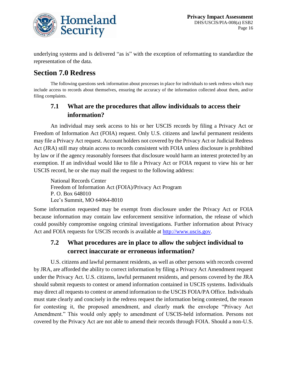

underlying systems and is delivered "as is" with the exception of reformatting to standardize the representation of the data.

# **Section 7.0 Redress**

The following questions seek information about processes in place for individuals to seek redress which may include access to records about themselves, ensuring the accuracy of the information collected about them, and/or filing complaints.

# **7.1 What are the procedures that allow individuals to access their information?**

An individual may seek access to his or her USCIS records by filing a Privacy Act or Freedom of Information Act (FOIA) request. Only U.S. citizens and lawful permanent residents may file a Privacy Act request. Account holders not covered by the Privacy Act or Judicial Redress Act (JRA) still may obtain access to records consistent with FOIA unless disclosure is prohibited by law or if the agency reasonably foresees that disclosure would harm an interest protected by an exemption. If an individual would like to file a Privacy Act or FOIA request to view his or her USCIS record, he or she may mail the request to the following address:

National Records Center Freedom of Information Act (FOIA)/Privacy Act Program P. O. Box 648010 Lee's Summit, MO 64064-8010

Some information requested may be exempt from disclosure under the Privacy Act or FOIA because information may contain law enforcement sensitive information, the release of which could possibly compromise ongoing criminal investigations. Further information about Privacy Act and FOIA requests for USCIS records is available at [http://www.uscis.gov.](http://www.uscis.gov/)

# **7.2 What procedures are in place to allow the subject individual to correct inaccurate or erroneous information?**

U.S. citizens and lawful permanent residents, as well as other persons with records covered by JRA, are afforded the ability to correct information by filing a Privacy Act Amendment request under the Privacy Act. U.S. citizens, lawful permanent residents, and persons covered by the JRA should submit requests to contest or amend information contained in USCIS systems. Individuals may direct all requests to contest or amend information to the USCIS FOIA/PA Office. Individuals must state clearly and concisely in the redress request the information being contested, the reason for contesting it, the proposed amendment, and clearly mark the envelope "Privacy Act Amendment." This would only apply to amendment of USCIS-held information. Persons not covered by the Privacy Act are not able to amend their records through FOIA. Should a non-U.S.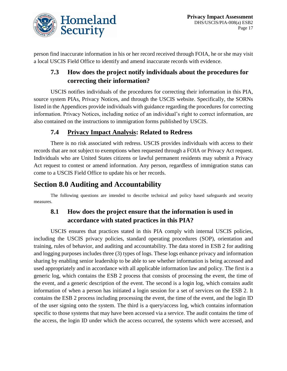

person find inaccurate information in his or her record received through FOIA, he or she may visit a local USCIS Field Office to identify and amend inaccurate records with evidence.

# **7.3 How does the project notify individuals about the procedures for correcting their information?**

USCIS notifies individuals of the procedures for correcting their information in this PIA, source system PIAs, Privacy Notices, and through the USCIS website. Specifically, the SORNs listed in the Appendices provide individuals with guidance regarding the procedures for correcting information. Privacy Notices, including notice of an individual's right to correct information, are also contained on the instructions to immigration forms published by USCIS.

# **7.4 Privacy Impact Analysis: Related to Redress**

There is no risk associated with redress. USCIS provides individuals with access to their records that are not subject to exemptions when requested through a FOIA or Privacy Act request. Individuals who are United States citizens or lawful permanent residents may submit a Privacy Act request to contest or amend information. Any person, regardless of immigration status can come to a USCIS Field Office to update his or her records.

# **Section 8.0 Auditing and Accountability**

The following questions are intended to describe technical and policy based safeguards and security measures.

# **8.1 How does the project ensure that the information is used in accordance with stated practices in this PIA?**

USCIS ensures that practices stated in this PIA comply with internal USCIS policies, including the USCIS privacy policies, standard operating procedures (SOP), orientation and training, rules of behavior, and auditing and accountability. The data stored in ESB 2 for auditing and logging purposes includes three (3) types of logs. These logs enhance privacy and information sharing by enabling senior leadership to be able to see whether information is being accessed and used appropriately and in accordance with all applicable information law and policy. The first is a generic log, which contains the ESB 2 process that consists of processing the event, the time of the event, and a generic description of the event. The second is a login log, which contains audit information of when a person has initiated a login session for a set of services on the ESB 2. It contains the ESB 2 process including processing the event, the time of the event, and the login ID of the user signing onto the system. The third is a query/access log, which contains information specific to those systems that may have been accessed via a service. The audit contains the time of the access, the login ID under which the access occurred, the systems which were accessed, and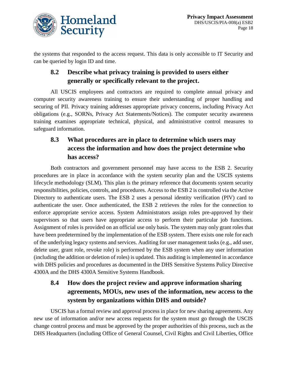

the systems that responded to the access request. This data is only accessible to IT Security and can be queried by login ID and time.

# **8.2 Describe what privacy training is provided to users either generally or specifically relevant to the project.**

All USCIS employees and contractors are required to complete annual privacy and computer security awareness training to ensure their understanding of proper handling and securing of PII. Privacy training addresses appropriate privacy concerns, including Privacy Act obligations (e.g., SORNs, Privacy Act Statements/Notices). The computer security awareness training examines appropriate technical, physical, and administrative control measures to safeguard information.

# **8.3 What procedures are in place to determine which users may access the information and how does the project determine who has access?**

Both contractors and government personnel may have access to the ESB 2. Security procedures are in place in accordance with the system security plan and the USCIS systems lifecycle methodology (SLM). This plan is the primary reference that documents system security responsibilities, policies, controls, and procedures. Access to the ESB 2 is controlled via the Active Directory to authenticate users. The ESB 2 uses a personal identity verification (PIV) card to authenticate the user. Once authenticated, the ESB 2 retrieves the roles for the connection to enforce appropriate service access. System Administrators assign roles pre-approved by their supervisors so that users have appropriate access to perform their particular job functions. Assignment of roles is provided on an official use only basis. The system may only grant roles that have been predetermined by the implementation of the ESB system. There exists one role for each of the underlying legacy systems and services. Auditing for user management tasks (e.g., add user, delete user, grant role, revoke role) is performed by the ESB system when any user information (including the addition or deletion of roles) is updated. This auditing is implemented in accordance with DHS policies and procedures as documented in the DHS Sensitive Systems Policy Directive 4300A and the DHS 4300A Sensitive Systems Handbook.

# **8.4 How does the project review and approve information sharing agreements, MOUs, new uses of the information, new access to the system by organizations within DHS and outside?**

USCIS has a formal review and approval process in place for new sharing agreements. Any new use of information and/or new access requests for the system must go through the USCIS change control process and must be approved by the proper authorities of this process, such as the DHS Headquarters (including Office of General Counsel, Civil Rights and Civil Liberties, Office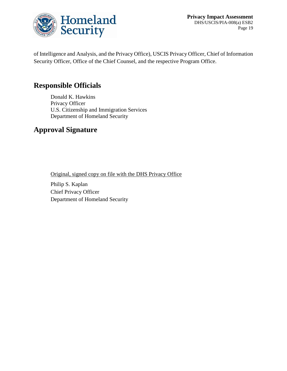

**Privacy Impact Assessment** DHS/USCIS/PIA-008(a) ESB2 Page 19

of Intelligence and Analysis, and the Privacy Office), USCIS Privacy Officer, Chief of Information Security Officer, Office of the Chief Counsel, and the respective Program Office.

# **Responsible Officials**

Donald K. Hawkins Privacy Officer U.S. Citizenship and Immigration Services Department of Homeland Security

# **Approval Signature**

Original, signed copy on file with the DHS Privacy Office

Philip S. Kaplan Chief Privacy Officer Department of Homeland Security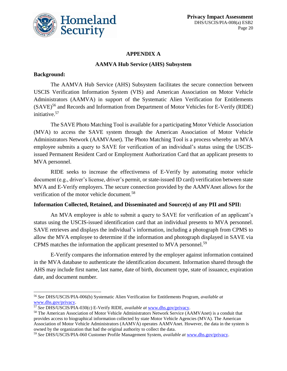

### **APPENDIX A**

### **AAMVA Hub Service (AHS) Subsystem**

### **Background:**

 $\overline{a}$ 

The AAMVA Hub Service (AHS) Subsystem facilitates the secure connection between USCIS Verification Information System (VIS) and American Association on Motor Vehicle Administrators (AAMVA) in support of the Systematic Alien Verification for Entitlements (SAVE)<sup>56</sup> and Records and Information from Department of Motor Vehicles for E-Verify (RIDE) initiative. 57

The SAVE Photo Matching Tool is available for a participating Motor Vehicle Association (MVA) to access the SAVE system through the American Association of Motor Vehicle Administrators Network (AAMVAnet). The Photo Matching Tool is a process whereby an MVA employee submits a query to SAVE for verification of an individual's status using the USCISissued Permanent Resident Card or Employment Authorization Card that an applicant presents to MVA personnel.

RIDE seeks to increase the effectiveness of E-Verify by automating motor vehicle document (e.g., driver's license, driver's permit, or state-issued ID card) verification between state MVA and E-Verify employers. The secure connection provided by the AAMVAnet allows for the verification of the motor vehicle document.<sup>58</sup>

### **Information Collected, Retained, and Disseminated and Source(s) of any PII and SPII:**

An MVA employee is able to submit a query to SAVE for verification of an applicant's status using the USCIS-issued identification card that an individual presents to MVA personnel. SAVE retrieves and displays the individual's information, including a photograph from CPMS to allow the MVA employee to determine if the information and photograph displayed in SAVE via CPMS matches the information the applicant presented to MVA personnel.<sup>59</sup>

E-Verify compares the information entered by the employer against information contained in the MVA database to authenticate the identification document. Information shared through the AHS may include first name, last name, date of birth, document type, state of issuance, expiration date, and document number.

<sup>56</sup> *See* DHS/USCIS/PIA-006(b) Systematic Alien Verification for Entitlements Program, *available at* [www.dhs.gov/privacy.](http://www.dhs.gov/privacy)

<sup>57</sup> *See* DHS/USCIS/PIA-030(c) E-Verify RIDE, *available at* [www.dhs.gov/privacy.](http://www.dhs.gov/privacy)

<sup>58</sup> The American Association of Motor Vehicle Administrators Network Service (AAMVAnet) is a conduit that provides access to biographical information collected by state Motor Vehicle Agencies (MVA). The American Association of Motor Vehicle Administrators (AAMVA) operates AAMVAnet. However, the data in the system is owned by the organization that had the original authority to collect the data.

<sup>59</sup> *See* DHS/USCIS/PIA-060 Customer Profile Management System, *available at* [www.dhs.gov/privacy.](http://www.dhs.gov/privacy)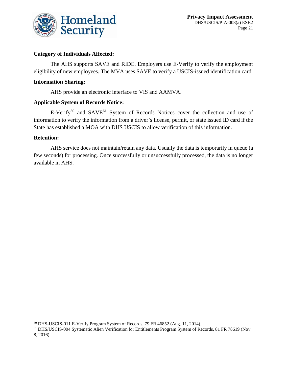

### **Category of Individuals Affected:**

The AHS supports SAVE and RIDE. Employers use E-Verify to verify the employment eligibility of new employees. The MVA uses SAVE to verify a USCIS-issued identification card.

#### **Information Sharing:**

AHS provide an electronic interface to VIS and AAMVA.

#### **Applicable System of Records Notice:**

 $E-Verify^{60}$  and  $SAVE^{61}$  System of Records Notices cover the collection and use of information to verify the information from a driver's license, permit, or state issued ID card if the State has established a MOA with DHS USCIS to allow verification of this information.

#### **Retention:**

 $\overline{a}$ 

AHS service does not maintain/retain any data. Usually the data is temporarily in queue (a few seconds) for processing. Once successfully or unsuccessfully processed, the data is no longer available in AHS.

<sup>60</sup> DHS-USCIS-011 E-Verify Program System of Records, 79 FR 46852 (Aug. 11, 2014).

<sup>61</sup> DHS/USCIS-004 Systematic Alien Verification for Entitlements Program System of Records, 81 FR 78619 (Nov. 8, 2016).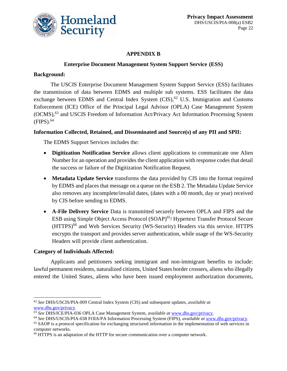

### **APPENDIX B**

#### **Enterprise Document Management System Support Service (ESS)**

#### **Background:**

The USCIS Enterprise Document Management System Support Service (ESS) facilitates the transmission of data between EDMS and multiple sub systems. ESS facilitates the data exchange between EDMS and Central Index System  $(CIS)$ ,  $62$  U.S. Immigration and Customs Enforcement (ICE) Office of the Principal Legal Advisor (OPLA) Case Management System (OCMS),<sup>63</sup> and USCIS Freedom of Information Act/Privacy Act Information Processing System  $(FIPS)$ .<sup>64</sup>

#### **Information Collected, Retained, and Disseminated and Source(s) of any PII and SPII:**

The EDMS Support Services includes the:

- **Digitization Notification Service** allows client applications to communicate one Alien Number for an operation and provides the client application with response codes that detail the success or failure of the Digitization Notification Request.
- **Metadata Update Service** transforms the data provided by CIS into the format required by EDMS and places that message on a queue on the ESB 2. The Metadata Update Service also removes any incomplete/invalid dates, (dates with a 00 month, day or year) received by CIS before sending to EDMS.
- **A-File Delivery Service** Data is transmitted securely between OPLA and FIPS and the ESB using Simple Object Access Protocol (SOAP) <sup>65</sup>/ Hypertext Transfer Protocol Secure (HTTPS) <sup>66</sup> and Web Services Security (WS-Security) Headers via this service. HTTPS encrypts the transport and provides server authentication, while usage of the WS-Security Headers will provide client authentication.

### **Category of Individuals Affected:**

 $\overline{a}$ 

Applicants and petitioners seeking immigrant and non-immigrant benefits to include: lawful permanent residents, naturalized citizens, United States border crossers, aliens who illegally entered the United States, aliens who have been issued employment authorization documents,

<sup>62</sup> *See* DHS/USCIS/PIA-009 Central Index System (CIS) and subsequent updates, *available at* [www.dhs.gov/privacy.](http://www.dhs.gov/privacy)

<sup>63</sup> *See* DHS/ICE/PIA-036 OPLA Case Management System, *available at* [www.dhs.gov/privacy.](http://www.dhs.gov/privacy)

<sup>64</sup> *See* DHS/USCIS/PIA-038 FOIA/PA Information Processing System (FIPS), *available at* [www.dhs.gov/privacy.](http://www.dhs.gov/privacy)

<sup>&</sup>lt;sup>65</sup> SAOP is a protocol specification for exchanging structured information in the implementation of web services in computer networks.

<sup>66</sup> HTTPS is an adaptation of the HTTP for secure communication over a computer network.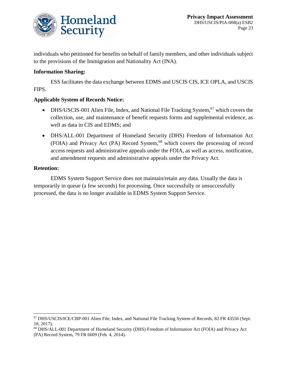

individuals who petitioned for benefits on behalf of family members, and other individuals subject to the provisions of the Immigration and Nationality Act (INA).

### **Information Sharing:**

ESS facilitates the data exchange between EDMS and USCIS CIS, ICE OPLA, and USCIS FIPS.

#### **Applicable System of Records Notice:**

- DHS/USCIS-001 Alien File, Index, and National File Tracking System, <sup>67</sup> which covers the collection, use, and maintenance of benefit requests forms and supplemental evidence, as well as data in CIS and EDMS; and
- DHS/ALL-001 Department of Homeland Security (DHS) Freedom of Information Act (FOIA) and Privacy Act (PA) Record System,<sup>68</sup> which covers the processing of record access requests and administrative appeals under the FOIA, as well as access, notification, and amendment requests and administrative appeals under the Privacy Act.

#### **Retention:**

 $\overline{a}$ 

EDMS System Support Service does not maintain/retain any data. Usually the data is temporarily in queue (a few seconds) for processing. Once successfully or unsuccessfully processed, the data is no longer available in EDMS System Support Service.

<sup>67</sup> DHS/USCIS/ICE/CBP-001 Alien File, Index, and National File Tracking System of Records, 82 FR 43556 (Sept. 18, 2017).

<sup>68</sup> DHS/ALL-001 Department of Homeland Security (DHS) Freedom of Information Act (FOIA) and Privacy Act (PA) Record System, 79 FR 6609 (Feb. 4, 2014).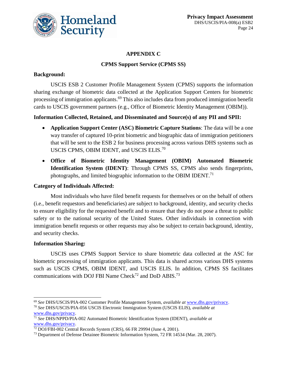

### **APPENDIX C**

### **CPMS Support Service (CPMS SS)**

### **Background:**

USCIS ESB 2 Customer Profile Management System (CPMS) supports the information sharing exchange of biometric data collected at the Application Support Centers for biometric processing of immigration applicants.<sup>69</sup> This also includes data from produced immigration benefit cards to USCIS government partners (e.g., Office of Biometric Identity Management (OBIM)).

### **Information Collected, Retained, and Disseminated and Source(s) of any PII and SPII:**

- **Application Support Center (ASC) Biometric Capture Stations**: The data will be a one way transfer of captured 10-print biometric and biographic data of immigration petitioners that will be sent to the ESB 2 for business processing across various DHS systems such as USCIS CPMS, OBIM IDENT, and USCIS ELIS.<sup>70</sup>
- **Office of Biometric Identity Management (OBIM) Automated Biometric Identification System (IDENT)**: Through CPMS SS, CPMS also sends fingerprints, photographs, and limited biographic information to the OBIM IDENT.<sup>71</sup>

### **Category of Individuals Affected:**

Most individuals who have filed benefit requests for themselves or on the behalf of others (i.e., benefit requestors and beneficiaries) are subject to background, identity, and security checks to ensure eligibility for the requested benefit and to ensure that they do not pose a threat to public safety or to the national security of the United States. Other individuals in connection with immigration benefit requests or other requests may also be subject to certain background, identity, and security checks.

### **Information Sharing:**

 $\overline{a}$ 

USCIS uses CPMS Support Service to share biometric data collected at the ASC for biometric processing of immigration applicants. This data is shared across various DHS systems such as USCIS CPMS, OBIM IDENT, and USCIS ELIS. In addition, CPMS SS facilitates communications with DOJ FBI Name Check<sup>72</sup> and DoD ABIS.<sup>73</sup>

<sup>69</sup> *See* DHS/USCIS/PIA-002 Customer Profile Management System, *available at* [www.dhs.gov/privacy.](http://www.dhs.gov/privacy)

<sup>70</sup> *See* DHS/USCIS/PIA-056 USCIS Electronic Immigration System (USCIS ELIS), *available at* [www.dhs.gov/privacy.](http://www.dhs.gov/privacy)

<sup>71</sup> *See* DHS/NPPD/PIA-002 Automated Biometric Identification System (IDENT), *available at* [www.dhs.gov/privacy.](http://www.dhs.gov/privacy)

<sup>72</sup> DOJ/FBI-002 Central Records System (CRS), 66 FR 29994 (June 4, 2001).

<sup>&</sup>lt;sup>73</sup> Department of Defense Detainee Biometric Information System, 72 FR 14534 (Mar. 28, 2007).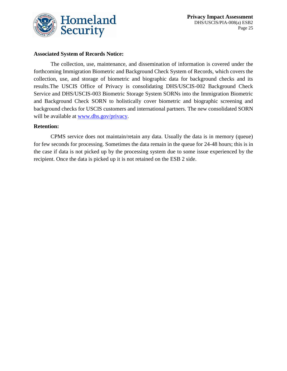

#### **Associated System of Records Notice:**

The collection, use, maintenance, and dissemination of information is covered under the forthcoming Immigration Biometric and Background Check System of Records, which covers the collection, use, and storage of biometric and biographic data for background checks and its results.The USCIS Office of Privacy is consolidating DHS/USCIS-002 Background Check Service and DHS/USCIS-003 Biometric Storage System SORNs into the Immigration Biometric and Background Check SORN to holistically cover biometric and biographic screening and background checks for USCIS customers and international partners. The new consolidated SORN will be available at [www.dhs.gov/privacy.](http://www.dhs.gov/privacy)

#### **Retention:**

CPMS service does not maintain/retain any data. Usually the data is in memory (queue) for few seconds for processing. Sometimes the data remain in the queue for 24-48 hours; this is in the case if data is not picked up by the processing system due to some issue experienced by the recipient. Once the data is picked up it is not retained on the ESB 2 side.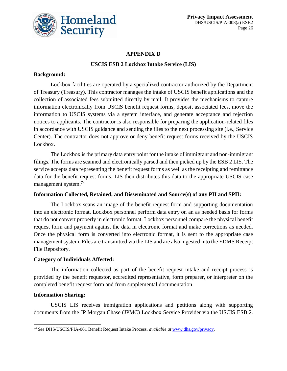

### **APPENDIX D**

### **USCIS ESB 2 Lockbox Intake Service (LIS)**

### **Background:**

Lockbox facilities are operated by a specialized contractor authorized by the Department of Treasury (Treasury). This contractor manages the intake of USCIS benefit applications and the collection of associated fees submitted directly by mail. It provides the mechanisms to capture information electronically from USCIS benefit request forms, deposit associated fees, move the information to USCIS systems via a system interface, and generate acceptance and rejection notices to applicants. The contractor is also responsible for preparing the application-related files in accordance with USCIS guidance and sending the files to the next processing site (i.e., Service Center). The contractor does not approve or deny benefit request forms received by the USCIS Lockbox.

The Lockbox is the primary data entry point for the intake of immigrant and non-immigrant filings. The forms are scanned and electronically parsed and then picked up by the ESB 2 LIS. The service accepts data representing the benefit request forms as well as the receipting and remittance data for the benefit request forms. LIS then distributes this data to the appropriate USCIS case management system.<sup>74</sup>

### **Information Collected, Retained, and Disseminated and Source(s) of any PII and SPII:**

The Lockbox scans an image of the benefit request form and supporting documentation into an electronic format. Lockbox personnel perform data entry on an as needed basis for forms that do not convert properly in electronic format. Lockbox personnel compare the physical benefit request form and payment against the data in electronic format and make corrections as needed. Once the physical form is converted into electronic format, it is sent to the appropriate case management system. Files are transmitted via the LIS and are also ingested into the EDMS Receipt File Repository.

### **Category of Individuals Affected:**

The information collected as part of the benefit request intake and receipt process is provided by the benefit requestor, accredited representative, form preparer, or interpreter on the completed benefit request form and from supplemental documentation

### **Information Sharing:**

 $\overline{a}$ 

USCIS LIS receives immigration applications and petitions along with supporting documents from the JP Morgan Chase (JPMC) Lockbox Service Provider via the USCIS ESB 2.

<sup>74</sup> *See* DHS/USCIS/PIA-061 Benefit Request Intake Process, *available at* [www.dhs.gov/privacy.](http://www.dhs.gov/privacy)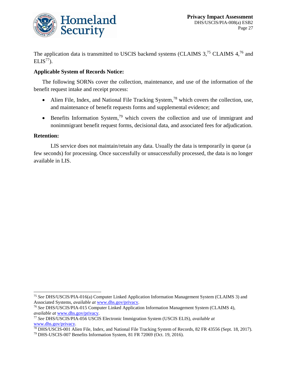

The application data is transmitted to USCIS backend systems (CLAIMS 3,<sup>75</sup> CLAIMS 4,<sup>76</sup> and  $ELIS<sup>77</sup>$ ).

#### **Applicable System of Records Notice:**

The following SORNs cover the collection, maintenance, and use of the information of the benefit request intake and receipt process:

- Alien File, Index, and National File Tracking System,<sup>78</sup> which covers the collection, use, and maintenance of benefit requests forms and supplemental evidence; and
- **Benefits Information System,**<sup>79</sup> which covers the collection and use of immigrant and nonimmigrant benefit request forms, decisional data, and associated fees for adjudication.

#### **Retention:**

 $\overline{a}$ 

LIS service does not maintain/retain any data. Usually the data is temporarily in queue (a few seconds) for processing. Once successfully or unsuccessfully processed, the data is no longer available in LIS.

<sup>75</sup> *See* DHS/USCIS/PIA-016(a) Computer Linked Application Information Management System (CLAIMS 3) and Associated Systems, *available at* [www.dhs.gov/privacy.](http://www.dhs.gov/privacy)

<sup>76</sup> *See* DHS/USCIS/PIA-015 Computer Linked Application Information Management System (CLAIMS 4), *available at* [www.dhs.gov/privacy.](http://www.dhs.gov/privacy)

<sup>77</sup> *See* DHS/USCIS/PIA-056 USCIS Electronic Immigration System (USCIS ELIS), *available at* [www.dhs.gov/privacy.](http://www.dhs.gov/privacy)

<sup>&</sup>lt;sup>78</sup> DHS/USCIS-001 Alien File, Index, and National File Tracking System of Records, 82 FR 43556 (Sept. 18, 2017).

<sup>79</sup> DHS-USCIS-007 Benefits Information System, 81 FR 72069 (Oct. 19, 2016).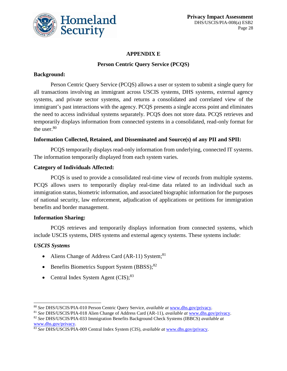

### **APPENDIX E**

### **Person Centric Query Service (PCQS)**

### **Background:**

Person Centric Query Service (PCQS) allows a user or system to submit a single query for all transactions involving an immigrant across USCIS systems, DHS systems, external agency systems, and private sector systems, and returns a consolidated and correlated view of the immigrant's past interactions with the agency. PCQS presents a single access point and eliminates the need to access individual systems separately. PCQS does not store data. PCQS retrieves and temporarily displays information from connected systems in a consolidated, read-only format for the user.<sup>80</sup>

### **Information Collected, Retained, and Disseminated and Source(s) of any PII and SPII:**

PCQS temporarily displays read-only information from underlying, connected IT systems. The information temporarily displayed from each system varies.

### **Category of Individuals Affected:**

PCQS is used to provide a consolidated real-time view of records from multiple systems. PCQS allows users to temporarily display real-time data related to an individual such as immigration status, biometric information, and associated biographic information for the purposes of national security, law enforcement, adjudication of applications or petitions for immigration benefits and border management.

### **Information Sharing:**

PCQS retrieves and temporarily displays information from connected systems, which include USCIS systems, DHS systems and external agency systems. These systems include:

### *USCIS Systems*

 $\overline{a}$ 

- Aliens Change of Address Card (AR-11) System;<sup>81</sup>
- **•** Benefits Biometrics Support System  $(BBSS)$ ;<sup>82</sup>
- Central Index System Agent (CIS);<sup>83</sup>

<sup>80</sup> *See* DHS/USCIS/PIA-010 Person Centric Query Service, *available at* [www.dhs.gov/privacy.](http://www.dhs.gov/privacy)

<sup>81</sup> *See* DHS/USCIS/PIA-018 Alien Change of Address Card (AR-11), *available at* [www.dhs.gov/privacy.](http://www.dhs.gov/privacy)

<sup>82</sup> *See* DHS/USCIS/PIA-033 Immigration Benefits Background Check Systems (IBBCS) *available at* [www.dhs.gov/privacy.](http://www.dhs.gov/privacy)

<sup>83</sup> *See* DHS/USCIS/PIA-009 Central Index System (CIS), *available at* [www.dhs.gov/privacy.](http://www.dhs.gov/privacy)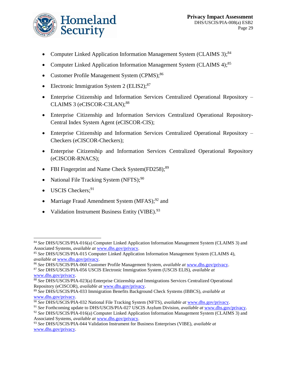

- Computer Linked Application Information Management System (CLAIMS 3);<sup>84</sup>
- Computer Linked Application Information Management System (CLAIMS 4);<sup>85</sup>
- Customer Profile Management System (CPMS);<sup>86</sup>
- Electronic Immigration System 2 (ELIS2); $87$
- Enterprise Citizenship and Information Services Centralized Operational Repository CLAIMS 3 (eCISCOR-C3LAN); 88
- Enterprise Citizenship and Information Services Centralized Operational Repository-Central Index System Agent (eCISCOR-CIS);
- Enterprise Citizenship and Information Services Centralized Operational Repository Checkers (eCISCOR-Checkers);
- Enterprise Citizenship and Information Services Centralized Operational Repository (eCISCOR-RNACS);
- FBI Fingerprint and Name Check System $(FD258)$ ;<sup>89</sup>
- National File Tracking System (NFTS);<sup>90</sup>
- USCIS Checkers;<sup>91</sup>

l

- Marriage Fraud Amendment System  $(MFAS)$ ;<sup>92</sup> and
- Validation Instrument Business Entity (VIBE).<sup>93</sup>

<sup>84</sup> *See* DHS/USCIS/PIA-016(a) Computer Linked Application Information Management System (CLAIMS 3) and Associated Systems, *available at* [www.dhs.gov/privacy.](http://www.dhs.gov/privacy)

<sup>85</sup> *See* DHS/USCIS/PIA-015 Computer Linked Application Information Management System (CLAIMS 4), *available at* [www.dhs.gov/privacy.](http://www.dhs.gov/privacy)

<sup>86</sup> *See* DHS/USCIS/PIA-060 Customer Profile Management System, *available at* [www.dhs.gov/privacy.](http://www.dhs.gov/privacy)

<sup>87</sup> *See* DHS/USCIS/PIA-056 USCIS Electronic Immigration System (USCIS ELIS), *available at* [www.dhs.gov/privacy.](http://www.dhs.gov/privacy)

<sup>88</sup> *See* DHS/USCIS/PIA-023(a) Enterprise Citizenship and Immigrations Services Centralized Operational Repository (eCISCOR), *available at* [www.dhs.gov/privacy.](http://www.dhs.gov/privacy)

<sup>89</sup> *See* DHS/USCIS/PIA-033 Immigration Benefits Background Check Systems (IBBCS), *available at* [www.dhs.gov/privacy.](http://www.dhs.gov/privacy)

<sup>90</sup> *See* DHS/USCIS/PIA-032 National File Tracking System (NFTS), *available at* [www.dhs.gov/privacy.](http://www.dhs.gov/privacy)

<sup>91</sup> *See* Forthcoming update to DHS/USCIS/PIA-027 USCIS Asylum Division, *available at* [www.dhs.gov/privacy.](http://www.dhs.gov/privacy)

<sup>92</sup> *See* DHS/USCIS/PIA-016(a) Computer Linked Application Information Management System (CLAIMS 3) and Associated Systems, *available at* [www.dhs.gov/privacy.](http://www.dhs.gov/privacy)

<sup>93</sup> *See* DHS/USCIS/PIA-044 Validation Instrument for Business Enterprises (VIBE), *available at* [www.dhs.gov/privacy.](http://www.dhs.gov/privacy)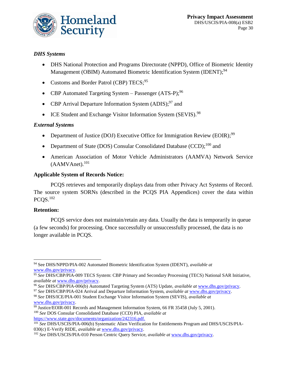

### *DHS Systems*

- DHS National Protection and Programs Directorate (NPPD), Office of Biometric Identity Management (OBIM) Automated Biometric Identification System (IDENT);<sup>94</sup>
- Customs and Border Patrol (CBP) TECS;<sup>95</sup>
- CBP Automated Targeting System Passenger  $(ATS-P)$ ;<sup>96</sup>
- CBP Arrival Departure Information System (ADIS);<sup>97</sup> and
- ICE Student and Exchange Visitor Information System (SEVIS).<sup>98</sup>

### *External Systems*

- Department of Justice (DOJ) Executive Office for Immigration Review (EOIR);<sup>99</sup>
- Department of State (DOS) Consular Consolidated Database (CCD);<sup>100</sup> and
- American Association of Motor Vehicle Administrators (AAMVA) Network Service (AAMVAnet). 101

### **Applicable System of Records Notice:**

PCQS retrieves and temporarily displays data from other Privacy Act Systems of Record. The source system SORNs (described in the PCQS PIA Appendices) cover the data within  $PCOS.<sup>102</sup>$ 

### **Retention:**

PCQS service does not maintain/retain any data. Usually the data is temporarily in queue (a few seconds) for processing. Once successfully or unsuccessfully processed, the data is no longer available in PCQS.

[https://www.state.gov/documents/organization/242316.pdf.](https://www.state.gov/documents/organization/242316.pdf)

 $\overline{a}$ <sup>94</sup> See DHS/NPPD/PIA-002 Automated Biometric Identification System (IDENT), *available at* [www.dhs.gov/privacy.](http://www.dhs.gov/privacy)

<sup>95</sup> *See* DHS/CBP/PIA-009 TECS System: CBP Primary and Secondary Processing (TECS) National SAR Initiative, *available at* [www.dhs.gov/privacy.](http://www.dhs.gov/privacy)

<sup>96</sup> *See* DHS/CBP/PIA-006(b) Automated Targeting System (ATS) Update, *available at* [www.dhs.gov/privacy.](http://www.dhs.gov/privacy)

<sup>97</sup> *See* DHS/CBP/PIA-024 Arrival and Departure Information System, *available at* [www.dhs.gov/privacy.](http://www.dhs.gov/privacy) <sup>98</sup> *See* DHS/ICE/PIA-001 Student Exchange Visitor Information System (SEVIS), *available at*  [www.dhs.gov/privacy.](http://www.dhs.gov/privacy)

 $\frac{99}{99}$  Justice/EOIR-001 Records and Management Information System, 66 FR 35458 (July 5, 2001). <sup>100</sup> *See* DOS Consular Consolidated Database (CCD) PIA, *available at* 

<sup>101</sup> *See* DHS/USCIS/PIA-006(b) Systematic Alien Verification for Entitlements Program and DHS/USCIS/PIA-030(c) E-Verify RIDE, *available at* [www.dhs.gov/privacy.](http://www.dhs.gov/privacy)

<sup>102</sup> *See* DHS/USCIS/PIA-010 Person Centric Query Service, *available at* [www.dhs.gov/privacy.](http://www.dhs.gov/privacy)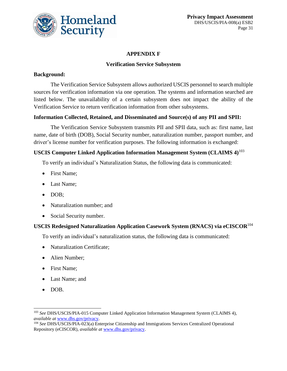

### **APPENDIX F**

### **Verification Service Subsystem**

### **Background:**

The Verification Service Subsystem allows authorized USCIS personnel to search multiple sources for verification information via one operation. The systems and information searched are listed below. The unavailability of a certain subsystem does not impact the ability of the Verification Service to return verification information from other subsystems.

### **Information Collected, Retained, and Disseminated and Source(s) of any PII and SPII:**

The Verification Service Subsystem transmits PII and SPII data, such as: first name, last name, date of birth (DOB), Social Security number, naturalization number, passport number, and driver's license number for verification purposes. The following information is exchanged:

### **USCIS Computer Linked Application Information Management System (CLAIMS 4)** 103

To verify an individual's Naturalization Status, the following data is communicated:

- First Name:
- Last Name:
- DOB:
- Naturalization number; and
- Social Security number.

### **USCIS Redesigned Naturalization Application Casework System (RNACS) via eCISCOR**<sup>104</sup>

To verify an individual's naturalization status, the following data is communicated:

- Naturalization Certificate;
- Alien Number;
- First Name;
- Last Name; and
- DOB.

l

<sup>103</sup> *See* DHS/USCIS/PIA-015 Computer Linked Application Information Management System (CLAIMS 4), *available at* [www.dhs.gov/privacy.](http://www.dhs.gov/privacy)

<sup>104</sup> *See* DHS/USCIS/PIA-023(a) Enterprise Citizenship and Immigrations Services Centralized Operational Repository (eCISCOR), *available at* [www.dhs.gov/privacy.](http://www.dhs.gov/privacy)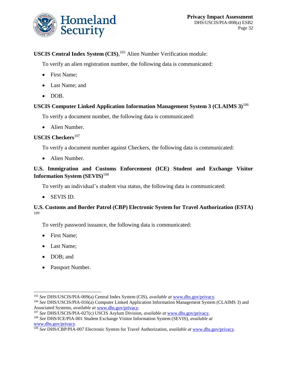

### **USCIS Central Index System (CIS)**, <sup>105</sup> Alien Number Verification module:

To verify an alien registration number, the following data is communicated:

- First Name;
- Last Name; and
- DOB.

### **USCIS Computer Linked Application Information Management System 3 (CLAIMS 3)**<sup>106</sup>

To verify a document number, the following data is communicated:

• Alien Number.

### **USCIS Checkers**<sup>107</sup>

To verify a document number against Checkers, the following data is communicated:

• Alien Number.

### **U.S. Immigration and Customs Enforcement (ICE) Student and Exchange Visitor Information System (SEVIS)**<sup>108</sup>

To verify an individual's student visa status, the following data is communicated:

SEVIS ID.

#### **U.S. Customs and Border Patrol (CBP) Electronic System for Travel Authorization (ESTA)** 109

To verify password issuance, the following data is communicated:

- First Name;
- Last Name;
- DOB; and

 $\overline{a}$ 

• Passport Number.

<sup>105</sup> *See* DHS/USCIS/PIA-009(a) Central Index System (CIS), *available at* [www.dhs.gov/privacy.](http://www.dhs.gov/privacy)

<sup>106</sup> *See* DHS/USCIS/PIA-016(a) Computer Linked Application Information Management System (CLAIMS 3) and Associated Systems, *available at* [www.dhs.gov/privacy.](http://www.dhs.gov/privacy)

<sup>107</sup> *See* DHS/USCIS/PIA-027(c) USCIS Asylum Division, *available at* [www.dhs.gov/privacy.](http://www.dhs.gov/privacy)

<sup>108</sup> *See* DHS/ICE/PIA-001 Student Exchange Visitor Information System (SEVIS), *available at*  [www.dhs.gov/privacy.](http://www.dhs.gov/privacy)

<sup>109</sup> *See* DHS/CBP/PIA-007 Electronic System for Travel Authorization, *available at* [www.dhs.gov/privacy.](http://www.dhs.gov/privacy)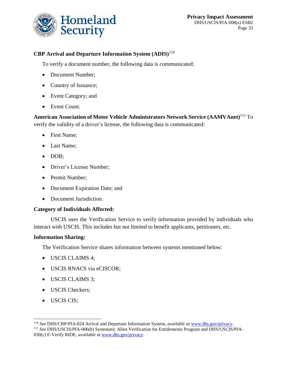

### **CBP Arrival and Departure Information System (ADIS)**<sup>110</sup>

To verify a document number, the following data is communicated:

- Document Number;
- Country of Issuance;
- Event Category; and
- Event Count.

**American Association of Motor Vehicle Administrators Network Service (AAMVAnet)**<sup>111</sup> To verify the validity of a driver's license, the following data is communicated:

- First Name;
- Last Name;
- DOB;
- Driver's License Number;
- Permit Number;
- Document Expiration Date; and
- Document Jurisdiction.

### **Category of Individuals Affected:**

USCIS uses the Verification Service to verify information provided by individuals who interact with USCIS. This includes but not limited to benefit applicants, petitioners, etc.

### **Information Sharing:**

The Verification Service shares information between systems mentioned below:

- USCIS CLAIMS 4;
- USCIS RNACS via eCISCOR;
- USCIS CLAIMS 3;
- USCIS Checkers;
- USCIS CIS;

 $\overline{a}$ 

<sup>110</sup> *See* DHS/CBP/PIA-024 Arrival and Departure Information System, *available at* [www.dhs.gov/privacy.](http://www.dhs.gov/privacy) <sup>111</sup> *See* DHS/USCIS/PIA-006(b) Systematic Alien Verification for Entitlements Program and DHS/USCIS/PIA-030(c) E-Verify RIDE, *available at* [www.dhs.gov/privacy.](http://www.dhs.gov/privacy)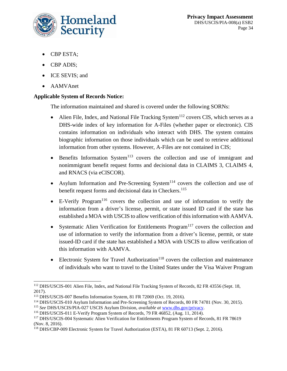

- CBP ESTA;
- CBP ADIS;
- ICE SEVIS; and
- AAMVAnet

### **Applicable System of Records Notice:**

The information maintained and shared is covered under the following SORNs:

- Alien File, Index, and National File Tracking System<sup>112</sup> covers CIS, which serves as a DHS-wide index of key information for A-Files (whether paper or electronic). CIS contains information on individuals who interact with DHS. The system contains biographic information on those individuals which can be used to retrieve additional information from other systems. However, A-Files are not contained in CIS;
- $\bullet$  Benefits Information System<sup>113</sup> covers the collection and use of immigrant and nonimmigrant benefit request forms and decisional data in CLAIMS 3, CLAIMS 4, and RNACS (via eCISCOR).
- Asylum Information and Pre-Screening System<sup>114</sup> covers the collection and use of benefit request forms and decisional data in Checkers. 115
- $\bullet$  E-Verify Program<sup>116</sup> covers the collection and use of information to verify the information from a driver's license, permit, or state issued ID card if the state has established a MOA with USCIS to allow verification of this information with AAMVA.
- Systematic Alien Verification for Entitlements Program<sup>117</sup> covers the collection and use of information to verify the information from a driver's license, permit, or state issued-ID card if the state has established a MOA with USCIS to allow verification of this information with AAMVA.
- **Electronic System for Travel Authorization**<sup>118</sup> covers the collection and maintenance of individuals who want to travel to the United States under the Visa Waiver Program

 $\overline{a}$ <sup>112</sup> DHS/USCIS-001 Alien File, Index, and National File Tracking System of Records, 82 FR 43556 (Sept. 18, 2017).

<sup>113</sup> DHS/USCIS-007 Benefits Information System, 81 FR 72069 (Oct. 19, 2016).

<sup>114</sup> DHS/USCIS-010 Asylum Information and Pre-Screening System of Records, 80 FR 74781 (Nov. 30, 2015).

<sup>115</sup> *See* DHS/USCIS/PIA-027 USCIS Asylum Division, *available at* [www.dhs.gov/privacy.](http://www.dhs.gov/privacy)

<sup>116</sup> DHS/USCIS-011 E-Verify Program System of Records, 79 FR 46852, (Aug. 11, 2014).

<sup>117</sup> DHS/USCIS-004 Systematic Alien Verification for Entitlements Program System of Records, 81 FR 78619 (Nov. 8, 2016).

<sup>118</sup> DHS/CBP-009 Electronic System for Travel Authorization (ESTA), 81 FR 60713 (Sept. 2, 2016).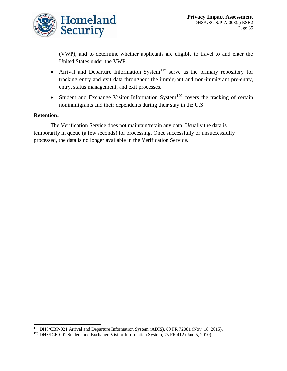

(VWP), and to determine whether applicants are eligible to travel to and enter the United States under the VWP.

- Arrival and Departure Information System<sup>119</sup> serve as the primary repository for tracking entry and exit data throughout the immigrant and non-immigrant pre-entry, entry, status management, and exit processes.
- $\bullet$  Student and Exchange Visitor Information System<sup>120</sup> covers the tracking of certain nonimmigrants and their dependents during their stay in the U.S.

#### **Retention:**

 $\overline{a}$ 

The Verification Service does not maintain/retain any data. Usually the data is temporarily in queue (a few seconds) for processing. Once successfully or unsuccessfully processed, the data is no longer available in the Verification Service.

<sup>119</sup> DHS/CBP-021 Arrival and Departure Information System (ADIS), 80 FR 72081 (Nov. 18, 2015).

<sup>&</sup>lt;sup>120</sup> DHS/ICE-001 Student and Exchange Visitor Information System, 75 FR 412 (Jan. 5, 2010).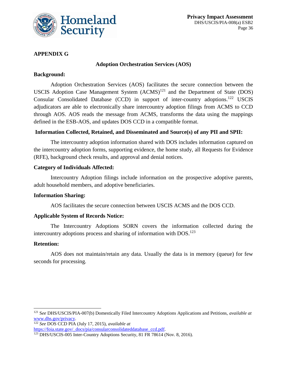

### **APPENDIX G**

#### **Adoption Orchestration Services (AOS)**

#### **Background:**

Adoption Orchestration Services (AOS) facilitates the secure connection between the USCIS Adoption Case Management System  $(ACMS)^{121}$  and the Department of State (DOS) Consular Consolidated Database (CCD) in support of inter-country adoptions.<sup>122</sup> USCIS adjudicators are able to electronically share intercountry adoption filings from ACMS to CCD through AOS. AOS reads the message from ACMS, transforms the data using the mappings defined in the ESB-AOS, and updates DOS CCD in a compatible format.

#### **Information Collected, Retained, and Disseminated and Source(s) of any PII and SPII:**

The intercountry adoption information shared with DOS includes information captured on the intercountry adoption forms, supporting evidence, the home study, all Requests for Evidence (RFE), background check results, and approval and denial notices.

#### **Category of Individuals Affected:**

Intercountry Adoption filings include information on the prospective adoptive parents, adult household members, and adoptive beneficiaries.

#### **Information Sharing:**

AOS facilitates the secure connection between USCIS ACMS and the DOS CCD.

#### **Applicable System of Records Notice:**

The Intercountry Adoptions SORN covers the information collected during the intercountry adoptions process and sharing of information with  $DOS$ <sup>123</sup>

#### **Retention:**

l

AOS does not maintain/retain any data. Usually the data is in memory (queue) for few seconds for processing.

<sup>122</sup> *See* DOS CCD PIA (July 17, 2015), *available at*  [https://foia.state.gov/\\_docs/pia/consularconsolidateddatabase\\_ccd.pdf.](https://foia.state.gov/_docs/pia/consularconsolidateddatabase_ccd.pdf)

<sup>121</sup> S*ee* DHS/USCIS/PIA-007(b) Domestically Filed Intercountry Adoptions Applications and Petitions, *available at*  [www.dhs.gov/privacy.](http://www.dhs.gov/privacy)

<sup>&</sup>lt;sup>123</sup> DHS/USCIS-005 Inter-Country Adoptions Security, 81 FR 78614 (Nov. 8, 2016).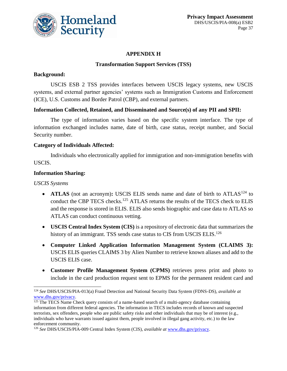

### **APPENDIX H**

### **Transformation Support Services (TSS)**

#### **Background:**

USCIS ESB 2 TSS provides interfaces between USCIS legacy systems, new USCIS systems, and external partner agencies' systems such as Immigration Customs and Enforcement (ICE), U.S. Customs and Border Patrol (CBP), and external partners.

#### **Information Collected, Retained, and Disseminated and Source(s) of any PII and SPII:**

The type of information varies based on the specific system interface. The type of information exchanged includes name, date of birth, case status, receipt number, and Social Security number.

#### **Category of Individuals Affected:**

Individuals who electronically applied for immigration and non-immigration benefits with USCIS.

#### **Information Sharing:**

#### *USCIS Systems*

 $\overline{a}$ 

- **ATLAS** (not an acronym): USCIS ELIS sends name and date of birth to ATLAS<sup>124</sup> to conduct the CBP TECS checks. <sup>125</sup> ATLAS returns the results of the TECS check to ELIS and the response is stored in ELIS. ELIS also sends biographic and case data to ATLAS so ATLAS can conduct continuous vetting.
- **USCIS Central Index System (CIS)** is a repository of electronic data that summarizes the history of an immigrant. TSS sends case status to CIS from USCIS ELIS.<sup>126</sup>
- **Computer Linked Application Information Management System (CLAIMS 3):**  USCIS ELIS queries CLAIMS 3 by Alien Number to retrieve known aliases and add to the USCIS ELIS case.
- **Customer Profile Management System (CPMS)** retrieves press print and photo to include in the card production request sent to EPMS for the permanent resident card and

<sup>124</sup> *See* DHS/USCIS/PIA-013(a) Fraud Detection and National Security Data System (FDNS-DS), *available at* [www.dhs.gov/privacy.](http://www.dhs.gov/privacy)

 $125$  The TECS Name Check query consists of a name-based search of a multi-agency database containing information from different federal agencies. The information in TECS includes records of known and suspected terrorists, sex offenders, people who are public safety risks and other individuals that may be of interest (e.g., individuals who have warrants issued against them, people involved in illegal gang activity, etc.) to the law enforcement community.

<sup>126</sup> *See* DHS/USCIS/PIA-009 Central Index System (CIS), *available at* [www.dhs.gov/privacy.](http://www.dhs.gov/privacy)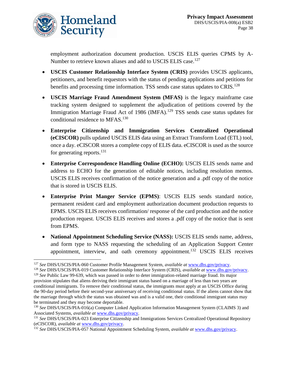

 $\overline{a}$ 

employment authorization document production. USCIS ELIS queries CPMS by A-Number to retrieve known aliases and add to USCIS ELIS case.<sup>127</sup>

- **USCIS Customer Relationship Interface System (CRIS)** provides USCIS applicants, petitioners, and benefit requestors with the status of pending applications and petitions for benefits and processing time information. TSS sends case status updates to CRIS.<sup>128</sup>
- **USCIS Marriage Fraud Amendment System (MFAS)** is the legacy mainframe case tracking system designed to supplement the adjudication of petitions covered by the Immigration Marriage Fraud Act of 1986 (IMFA).<sup>129</sup> TSS sends case status updates for conditional residence to MFAS.<sup>130</sup>
- **Enterprise Citizenship and Immigration Services Centralized Operational (eCISCOR)** pulls updated USCIS ELIS data using an Extract Transform Load (ETL) tool, once a day. eCISCOR stores a complete copy of ELIS data. eCISCOR is used as the source for generating reports. $^{131}$
- **Enterprise Correspondence Handling Online (ECHO):** USCIS ELIS sends name and address to ECHO for the generation of editable notices, including resolution memos. USCIS ELIS receives confirmation of the notice generation and a .pdf copy of the notice that is stored in USCIS ELIS.
- **Enterprise Print Manger Service (EPMS)**: USCIS ELIS sends standard notice, permanent resident card and employment authorization document production requests to EPMS. USCIS ELIS receives confirmation/ response of the card production and the notice production request. USCIS ELIS receives and stores a .pdf copy of the notice that is sent from EPMS.
- **National Appointment Scheduling Service (NASS):** USCIS ELIS sends name, address, and form type to NASS requesting the scheduling of an Application Support Center appointment, interview, and oath ceremony appointment.<sup>132</sup> USCIS ELIS receives

<sup>127</sup> *See* DHS/USCIS/PIA-060 Customer Profile Management System, *available at* [www.dhs.gov/privacy.](http://www.dhs.gov/privacy)

<sup>128</sup> *See* DHS/USCIS/PIA-019 Customer Relationship Interface System (CRIS), *available at* [www.dhs.gov/privacy.](http://www.dhs.gov/privacy) <sup>129</sup> *See* Public Law 99-639, which was passed in order to deter immigration-related marriage fraud. Its major provision stipulates that aliens deriving their immigrant status based on a marriage of less than two years are conditional immigrants. To remove their conditional status, the immigrants must apply at an USCIS Office during

the 90-day period before their second-year anniversary of receiving conditional status. If the aliens cannot show that the marriage through which the status was obtained was and is a valid one, their conditional immigrant status may be terminated and they may become deportable.

<sup>130</sup> *See* DHS/USCIS/PIA-016(a) Computer Linked Application Information Management System (CLAIMS 3) and Associated Systems, *available at* [www.dhs.gov/privacy.](http://www.dhs.gov/privacy)

<sup>131</sup> *See* DHS/USCIS/PIA-023 Enterprise Citizenship and Immigrations Services Centralized Operational Repository (eCISCOR), *available at* [www.dhs.gov/privacy.](http://www.dhs.gov/privacy)

<sup>132</sup> *See* DHS/USCIS/PIA-057 National Appointment Scheduling System, *available at* [www.dhs.gov/privacy.](http://www.dhs.gov/privacy)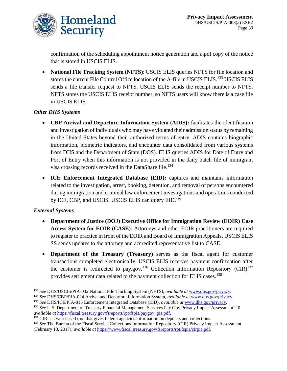

confirmation of the scheduling appointment notice generation and a.pdf copy of the notice that is stored in USCIS ELIS.

 **National File Tracking System (NFTS)**: USCIS ELIS queries NFTS for file location and stores the current File Control Office location of the A-file in USCIS ELIS.<sup>133</sup> USCIS ELIS sends a file transfer request to NFTS. USCIS ELIS sends the receipt number to NFTS. NFTS stores the USCIS ELIS receipt number, so NFTS users will know there is a case file in USCIS ELIS.

### *Other DHS Systems*

- **CBP Arrival and Departure Information System (ADIS):** facilitates the identification and investigation of individuals who may have violated their admission status by remaining in the United States beyond their authorized terms of entry. ADIS contains biographic information, biometric indicators, and encounter data consolidated from various systems from DHS and the Department of State (DOS). ELIS queries ADIS for Date of Entry and Port of Entry when this information is not provided in the daily batch file of immigrant visa crossing records received in the DataShare file. 134
- **ICE Enforcement Integrated Database (EID):** captures and maintains information related to the investigation, arrest, booking, detention, and removal of persons encountered during immigration and criminal law enforcement investigations and operations conducted by ICE, CBP, and USCIS. USCIS ELIS can query EID.<sup>135</sup>

### *External Systems*

- **Department of Justice (DOJ) Executive Office for Immigration Review (EOIR) Case Access System for EOIR (CASE)**: Attorneys and other EOIR practitioners are required to register to practice in front of the EOIR and Board of Immigration Appeals. USCIS ELIS SS sends updates to the attorney and accredited representative list to CASE.
- **Department of the Treasury (Treasury)** serves as the fiscal agent for customer transactions completed electronically. USCIS ELIS receives payment confirmation after the customer is redirected to pay.gov.<sup>136</sup> Collection Information Repository (CIR)<sup>137</sup> provides settlement data related to the payment collection for ELIS cases.<sup>138</sup>

 $\overline{a}$ <sup>133</sup> *See* DHS/USCIS/PIA-032 National File Tracking System (NFTS), *available at* [www.dhs.gov/privacy](http://www.dhs.gov/privacy)*.*

<sup>134</sup> *See* DHS/CBP/PIA-024 Arrival and Departure Information System, *available at* [www.dhs.gov/privacy.](http://www.dhs.gov/privacy)

<sup>135</sup> *See* DHS/ICE/PIA-015 Enforcement Integrated Database (EID), *available at* [www.dhs.gov/privacy.](http://www.dhs.gov/privacy)

<sup>136</sup> *See* U.S. Department of Treasury Financial Management Services Pay.Gov Privacy Impact Assessment 2.0 *available at* [https://fiscal.treasury.gov/fsreports/rpt/fspia/paygov\\_pia.pdf.](https://fiscal.treasury.gov/fsreports/rpt/fspia/paygov_pia.pdf)

<sup>&</sup>lt;sup>137</sup> CIR is a web-based tool that gives federal agencies information on deposits and collections.

<sup>138</sup> *See* The Bureau of the Fiscal Service Collections Information Repository (CIR) Privacy Impact Assessment (February 13, 2017), *available at* [https://www.fiscal.treasury.gov/fsreports/rpt/fspia/cirpia.pdf.](https://www.fiscal.treasury.gov/fsreports/rpt/fspia/cirpia.pdf)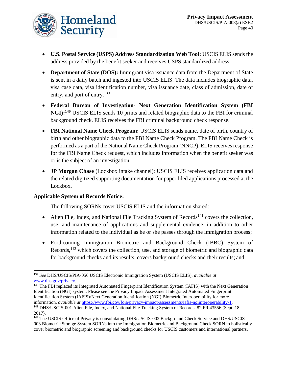

- **U.S. Postal Service (USPS) Address Standardization Web Tool:** USCIS ELIS sends the address provided by the benefit seeker and receives USPS standardized address.
- **Department of State (DOS):** Immigrant visa issuance data from the Department of State is sent in a daily batch and ingested into USCIS ELIS. The data includes biographic data, visa case data, visa identification number, visa issuance date, class of admission, date of entry, and port of entry.<sup>139</sup>
- **Federal Bureau of Investigation- Next Generation Identification System (FBI NGI):<sup>140</sup>** USCIS ELIS sends 10 prints and related biographic data to the FBI for criminal background check. ELIS receives the FBI criminal background check response.
- **FBI National Name Check Program:** USCIS ELIS sends name, date of birth, country of birth and other biographic data to the FBI Name Check Program. The FBI Name Check is performed as a part of the National Name Check Program (NNCP). ELIS receives response for the FBI Name Check request, which includes information when the benefit seeker was or is the subject of an investigation.
- **JP Morgan Chase** (Lockbox intake channel): USCIS ELIS receives application data and the related digitized supporting documentation for paper filed applications processed at the Lockbox.

### **Applicable System of Records Notice:**

The following SORNs cover USCIS ELIS and the information shared:

- Alien File, Index, and National File Tracking System of Records<sup>141</sup> covers the collection. use, and maintenance of applications and supplemental evidence, in addition to other information related to the individual as he or she passes through the immigration process;
- Forthcoming Immigration Biometric and Background Check (IBBC) System of Records,<sup>142</sup> which covers the collection, use, and storage of biometric and biographic data for background checks and its results, covers background checks and their results; and

l <sup>139</sup> *See* DHS/USCIS/PIA-056 USCIS Electronic Immigration System (USCIS ELIS), *available at* [www.dhs.gov/privacy.](http://www.dhs.gov/privacy)

<sup>&</sup>lt;sup>140</sup> The FBI replaced its Integrated Automated Fingerprint Identification System (IAFIS) with the Next Generation Identification (NGI) system. Please see the Privacy Impact Assessment Integrated Automated Fingerprint Identification System (IAFIS)/Next Generation Identification (NGI) Biometric Interoperability for more information, *available at* [https://www.fbi.gov/foia/privacy-impact-assessments/iafis-ngiinteroperability-1.](https://www.fbi.gov/foia/privacy-impact-assessments/iafis-ngiinteroperability-1) <sup>141</sup> DHS/USCIS-001 Alien File, Index, and National File Tracking System of Records, 82 FR 43556 (Sept. 18, 2017).

<sup>&</sup>lt;sup>142</sup> The USCIS Office of Privacy is consolidating DHS/USCIS-002 Background Check Service and DHS/USCIS-003 Biometric Storage System SORNs into the Immigration Biometric and Background Check SORN to holistically cover biometric and biographic screening and background checks for USCIS customers and international partners.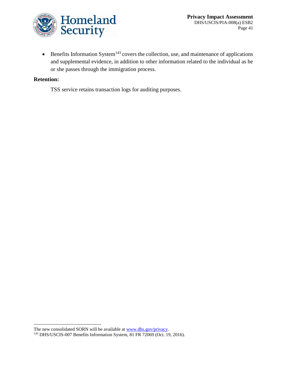

 $\bullet$  Benefits Information System<sup>143</sup> covers the collection, use, and maintenance of applications and supplemental evidence, in addition to other information related to the individual as he or she passes through the immigration process.

#### **Retention:**

 $\overline{a}$ 

TSS service retains transaction logs for auditing purposes.

The new consolidated SORN will be available a[t www.dhs.gov/privacy.](http://www.dhs.gov/privacy)

<sup>143</sup> DHS/USCIS-007 Benefits Information System, 81 FR 72069 (Oct. 19, 2016).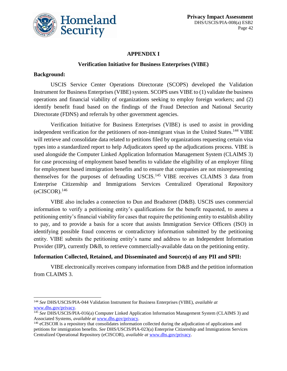

### **APPENDIX I**

#### **Verification Initiative for Business Enterprises (VIBE)**

#### **Background:**

 $\overline{a}$ 

USCIS Service Center Operations Directorate (SCOPS) developed the Validation Instrument for Business Enterprises (VIBE) system. SCOPS uses VIBE to (1) validate the business operations and financial viability of organizations seeking to employ foreign workers; and (2) identify benefit fraud based on the findings of the Fraud Detection and National Security Directorate (FDNS) and referrals by other government agencies.

Verification Initiative for Business Enterprises (VIBE) is used to assist in providing independent verification for the petitioners of non-immigrant visas in the United States.<sup>144</sup> VIBE will retrieve and consolidate data related to petitions filed by organizations requesting certain visa types into a standardized report to help Adjudicators speed up the adjudications process. VIBE is used alongside the Computer Linked Application Information Management System (CLAIMS 3) for case processing of employment based benefits to validate the eligibility of an employer filing for employment based immigration benefits and to ensure that companies are not misrepresenting themselves for the purposes of defrauding USCIS.<sup>145</sup> VIBE receives CLAIMS 3 data from Enterprise Citizenship and Immigrations Services Centralized Operational Repository  $(eCISCOR).<sup>146</sup>$ 

VIBE also includes a connection to Dun and Bradstreet (D&B). USCIS uses commercial information to verify a petitioning entity's qualifications for the benefit requested, to assess a petitioning entity's financial viability for cases that require the petitioning entity to establish ability to pay, and to provide a basis for a score that assists Immigration Service Officers (ISO) in identifying possible fraud concerns or contradictory information submitted by the petitioning entity. VIBE submits the petitioning entity's name and address to an Independent Information Provider (IIP), currently D&B, to retrieve commercially-available data on the petitioning entity.

### **Information Collected, Retained, and Disseminated and Source(s) of any PII and SPII:**

VIBE electronically receives company information from D&B and the petition information from CLAIMS 3.

<sup>144</sup> *See* DHS/USCIS/PIA-044 Validation Instrument for Business Enterprises (VIBE), *available at* [www.dhs.gov/privacy.](http://www.dhs.gov/privacy)

<sup>145</sup> *See* DHS/USCIS/PIA-016(a) Computer Linked Application Information Management System (CLAIMS 3) and Associated Systems, *available at* [www.dhs.gov/privacy.](http://www.dhs.gov/privacy)

<sup>&</sup>lt;sup>146</sup> eCISCOR is a repository that consolidates information collected during the adjudication of applications and petitions for immigration benefits. *See* DHS/USCIS/PIA-023(a) Enterprise Citizenship and Immigrations Services Centralized Operational Repository (eCISCOR), *available at* [www.dhs.gov/privacy.](http://www.dhs.gov/privacy)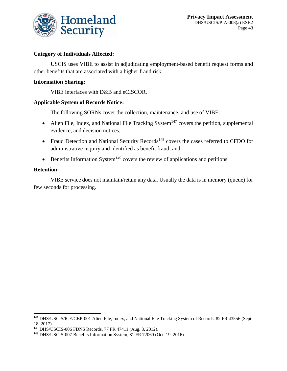

#### **Category of Individuals Affected:**

USCIS uses VIBE to assist in adjudicating employment-based benefit request forms and other benefits that are associated with a higher fraud risk.

#### **Information Sharing:**

VIBE interfaces with D&B and eCISCOR.

#### **Applicable System of Records Notice:**

The following SORNs cover the collection, maintenance, and use of VIBE:

- Alien File, Index, and National File Tracking System<sup>147</sup> covers the petition, supplemental evidence, and decision notices;
- Fraud Detection and National Security Records<sup>148</sup> covers the cases referred to CFDO for administrative inquiry and identified as benefit fraud; and
- Benefits Information System<sup>149</sup> covers the review of applications and petitions.

#### **Retention:**

 $\overline{a}$ 

VIBE service does not maintain/retain any data. Usually the data is in memory (queue) for few seconds for processing.

<sup>&</sup>lt;sup>147</sup> DHS/USCIS/ICE/CBP-001 Alien File, Index, and National File Tracking System of Records, 82 FR 43556 (Sept. 18, 2017).

<sup>148</sup> DHS/USCIS-006 FDNS Records, 77 FR 47411 (Aug. 8, 2012).

<sup>149</sup> DHS/USCIS-007 Benefits Information System, 81 FR 72069 (Oct. 19, 2016).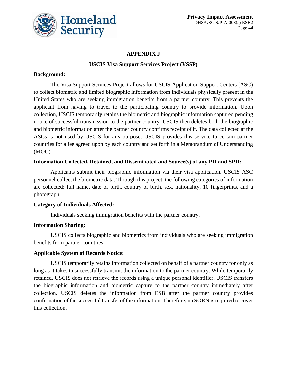

#### **APPENDIX J**

#### **USCIS Visa Support Services Project (VSSP)**

#### **Background:**

The Visa Support Services Project allows for USCIS Application Support Centers (ASC) to collect biometric and limited biographic information from individuals physically present in the United States who are seeking immigration benefits from a partner country. This prevents the applicant from having to travel to the participating country to provide information. Upon collection, USCIS temporarily retains the biometric and biographic information captured pending notice of successful transmission to the partner country. USCIS then deletes both the biographic and biometric information after the partner country confirms receipt of it. The data collected at the ASCs is not used by USCIS for any purpose. USCIS provides this service to certain partner countries for a fee agreed upon by each country and set forth in a Memorandum of Understanding (MOU).

#### **Information Collected, Retained, and Disseminated and Source(s) of any PII and SPII:**

Applicants submit their biographic information via their visa application. USCIS ASC personnel collect the biometric data. Through this project, the following categories of information are collected: full name, date of birth, country of birth, sex, nationality, 10 fingerprints, and a photograph.

#### **Category of Individuals Affected:**

Individuals seeking immigration benefits with the partner country.

### **Information Sharing:**

USCIS collects biographic and biometrics from individuals who are seeking immigration benefits from partner countries.

#### **Applicable System of Records Notice:**

USCIS temporarily retains information collected on behalf of a partner country for only as long as it takes to successfully transmit the information to the partner country. While temporarily retained, USCIS does not retrieve the records using a unique personal identifier. USCIS transfers the biographic information and biometric capture to the partner country immediately after collection. USCIS deletes the information from ESB after the partner country provides confirmation of the successful transfer of the information. Therefore, no SORN is required to cover this collection.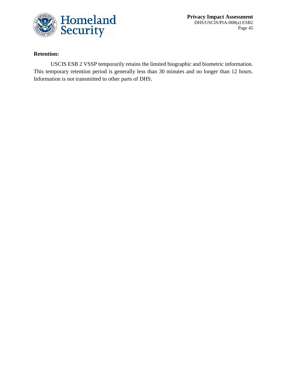

**Privacy Impact Assessment** DHS/USCIS/PIA-008(a) ESB2 Page 45

### **Retention:**

USCIS ESB 2 VSSP temporarily retains the limited biographic and biometric information. This temporary retention period is generally less than 30 minutes and no longer than 12 hours. Information is not transmitted to other parts of DHS.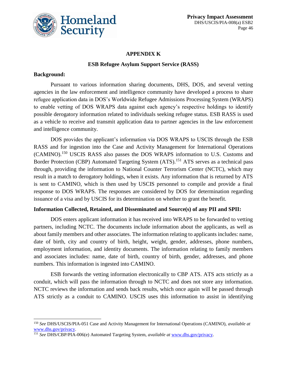

### **APPENDIX K**

#### **ESB Refugee Asylum Support Service (RASS)**

#### **Background:**

 $\overline{a}$ 

Pursuant to various information sharing documents, DHS, DOS, and several vetting agencies in the law enforcement and intelligence community have developed a process to share refugee application data in DOS's Worldwide Refugee Admissions Processing System (WRAPS) to enable vetting of DOS WRAPS data against each agency's respective holdings to identify possible derogatory information related to individuals seeking refugee status. ESB RASS is used as a vehicle to receive and transmit application data to partner agencies in the law enforcement and intelligence community.

DOS provides the applicant's information via DOS WRAPS to USCIS through the ESB RASS and for ingestion into the Case and Activity Management for International Operations (CAMINO).<sup>150</sup> USCIS RASS also passes the DOS WRAPS information to U.S. Customs and Border Protection (CBP) Automated Targeting System (ATS).<sup>151</sup> ATS serves as a technical pass through, providing the information to National Counter Terrorism Center (NCTC), which may result in a match to derogatory holdings, when it exists. Any information that is returned by ATS is sent to CAMINO, which is then used by USCIS personnel to compile and provide a final response to DOS WRAPS. The responses are considered by DOS for determination regarding issuance of a visa and by USCIS for its determination on whether to grant the benefit.

#### **Information Collected, Retained, and Disseminated and Source(s) of any PII and SPII:**

DOS enters applicant information it has received into WRAPS to be forwarded to vetting partners, including NCTC. The documents include information about the applicants, as well as about family members and other associates. The information relating to applicants includes: name, date of birth, city and country of birth, height, weight, gender, addresses, phone numbers, employment information, and identity documents. The information relating to family members and associates includes: name, date of birth, country of birth, gender, addresses, and phone numbers. This information is ingested into CAMINO.

ESB forwards the vetting information electronically to CBP ATS. ATS acts strictly as a conduit, which will pass the information through to NCTC and does not store any information. NCTC reviews the information and sends back results, which once again will be passed through ATS strictly as a conduit to CAMINO. USCIS uses this information to assist in identifying

<sup>150</sup> *See* DHS/USCIS/PIA-051 Case and Activity Management for International Operations (CAMINO), *available at* [www.dhs.gov/privacy.](http://www.dhs.gov/privacy)

<sup>151</sup> *See* DHS/CBP/PIA-006(e) Automated Targeting System, *available at* [www.dhs.gov/privacy.](http://www.dhs.gov/privacy)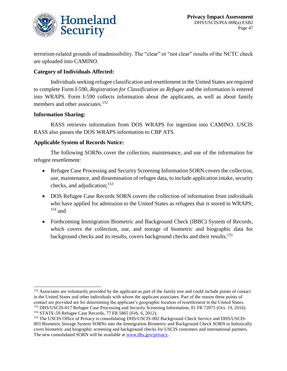

terrorism-related grounds of inadmissibility. The "clear" or "not clear" results of the NCTC check are uploaded into CAMINO.

### **Category of Individuals Affected:**

Individuals seeking refugee classification and resettlement in the United States are required to complete Form I-590, *Registration for Classification as Refugee* and the information is entered into WRAPS. Form I-590 collects information about the applicants, as well as about family members and other associates.<sup>152</sup>

### **Information Sharing:**

 $\overline{a}$ 

RASS retrieves information from DOS WRAPS for ingestion into CAMINO. USCIS RASS also passes the DOS WRAPS information to CBP ATS.

#### **Applicable System of Records Notice:**

The following SORNs cover the collection, maintenance, and use of the information for refugee resettlement:

- Refugee Case Processing and Security Screening Information SORN covers the collection, use, maintenance, and dissemination of refugee data, to include application intake, security checks, and adjudication; $153$
- DOS Refugee Case Records SORN covers the collection of information from individuals who have applied for admission to the United States as refugees that is stored in WRAPS;  $154$  and
- Forthcoming Immigration Biometric and Background Check (IBBC) System of Records, which covers the collection, use, and storage of biometric and biographic data for background checks and its results, covers background checks and their results.<sup>155</sup>

<sup>&</sup>lt;sup>152</sup> Associates are voluntarily provided by the applicant as part of the family tree and could include points of contact in the United States and other individuals with whom the applicant associates. Part of the reason these points of contact are provided are for determining the applicant's geographic location of resettlement in the United States. <sup>153</sup> DHS/USCIS-017 Refugee Case Processing and Security Screening Information, 81 FR 72075 (Oct. 19, 2016). <sup>154</sup> STATE-59 Refugee Case Records, 77 FR 5865 (Feb. 6, 2012).

<sup>155</sup> The USCIS Office of Privacy is consolidating DHS/USCIS-002 Background Check Service and DHS/USCIS-003 Biometric Storage System SORNs into the Immigration Biometric and Background Check SORN to holistically cover biometric and biographic screening and background checks for USCIS customers and international partners. The new consolidated SORN will be available a[t www.dhs.gov/privacy.](http://www.dhs.gov/privacy)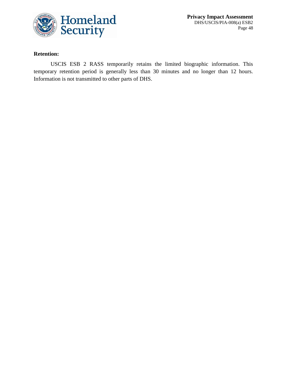

**Privacy Impact Assessment** DHS/USCIS/PIA-008(a) ESB2 Page 48

### **Retention:**

USCIS ESB 2 RASS temporarily retains the limited biographic information. This temporary retention period is generally less than 30 minutes and no longer than 12 hours. Information is not transmitted to other parts of DHS.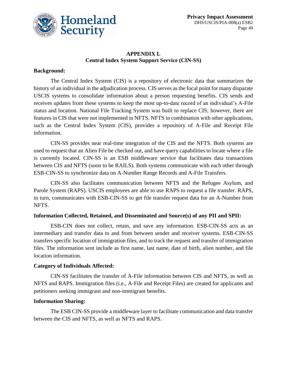

### **APPENDIX L Central Index System Support Service (CIN-SS)**

### **Background:**

The Central Index System (CIS) is a repository of electronic data that summarizes the history of an individual in the adjudication process. CIS serves as the focal point for many disparate USCIS systems to consolidate information about a person requesting benefits. CIS sends and receives updates from these systems to keep the most up-to-date record of an individual's A-File status and location. National File Tracking System was built to replace CIS; however, there are features in CIS that were not implemented in NFTS. NFTS in combination with other applications, such as the Central Index System (CIS), provides a repository of A-File and Receipt File information.

CIN-SS provides near real-time integration of the CIS and the NFTS. Both systems are used to request that an Alien File be checked out, and have query capabilities to locate where a file is currently located. CIN-SS is an ESB middleware service that facilitates data transactions between CIS and NFTS (soon to be RAILS). Both systems communicate with each other through ESB-CIN-SS to synchronize data on A-Number Range Records and A-File Transfers.

CIN-SS also facilitates communication between NFTS and the Refugee Asylum, and Parole System (RAPS). USCIS employees are able to use RAPS to request a file transfer. RAPS, in turn, communicates with ESB-CIN-SS to get file transfer request data for an A-Number from NFTS.

### **Information Collected, Retained, and Disseminated and Source(s) of any PII and SPII:**

ESB-CIN does not collect, retain, and save any information. ESB-CIN-SS acts as an intermediary and transfer data to and from between sender and receiver systems. ESB-CIN-SS transfersspecific location of immigration files, and to track the request and transfer of immigration files. The information sent include as first name, last name, date of birth, alien number, and file location information.

### **Category of Individuals Affected:**

CIN-SS facilitates the transfer of A-File information between CIS and NFTS, as well as NFTS and RAPS. Immigration files (i.e., A-File and Receipt Files) are created for applicants and petitioners seeking immigrant and non-immigrant benefits.

### **Information Sharing:**

The ESB CIN-SS provide a middleware layer to facilitate communication and data transfer between the CIS and NFTS, as well as NFTS and RAPS.